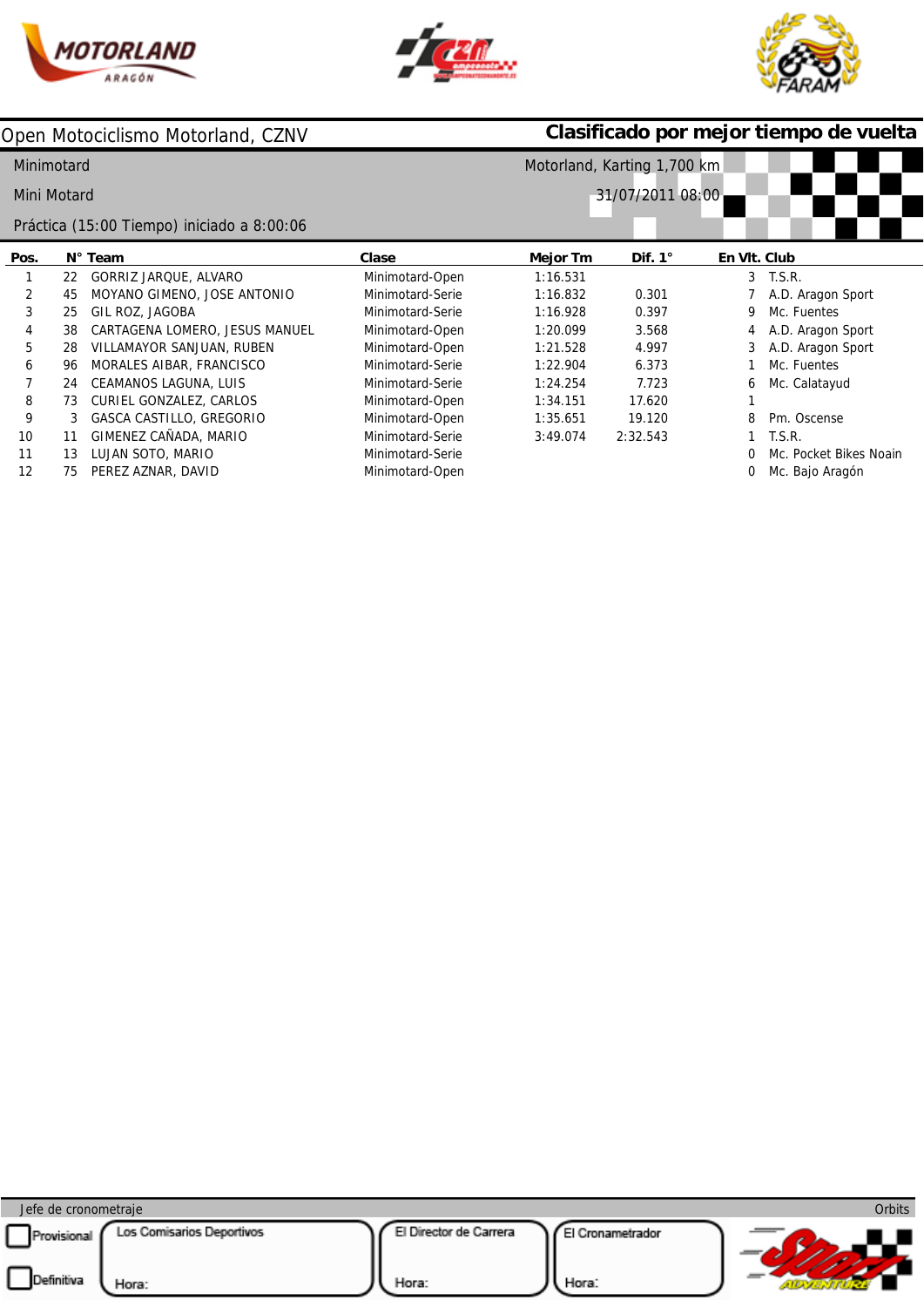





|             |    | Open Motociclismo Motorland, CZNV          |                  | Clasificado por mejor tiempo de vuelta |                |              |                        |  |  |  |
|-------------|----|--------------------------------------------|------------------|----------------------------------------|----------------|--------------|------------------------|--|--|--|
| Minimotard  |    |                                            |                  | Motorland, Karting 1,700 km            |                |              |                        |  |  |  |
| Mini Motard |    |                                            |                  | 31/07/2011 08:00                       |                |              |                        |  |  |  |
|             |    | Práctica (15:00 Tiempo) iniciado a 8:00:06 |                  |                                        |                |              |                        |  |  |  |
| Pos.        |    | $N^{\circ}$ Team                           | Clase            | Mejor Tm                               | Dif. $1^\circ$ | En VIt. Club |                        |  |  |  |
|             | 22 | GORRIZ JARQUE, ALVARO                      | Minimotard-Open  | 1:16.531                               |                | 3            | T.S.R.                 |  |  |  |
| 2           | 45 | MOYANO GIMENO, JOSE ANTONIO                | Minimotard-Serie | 1:16.832                               | 0.301          |              | A.D. Aragon Sport      |  |  |  |
| 3           | 25 | GIL ROZ, JAGOBA                            | Minimotard-Serie | 1:16.928                               | 0.397          | 9            | Mc. Fuentes            |  |  |  |
| 4           | 38 | CARTAGENA LOMERO, JESUS MANUEL             | Minimotard-Open  | 1:20.099                               | 3.568          |              | A.D. Aragon Sport      |  |  |  |
| 5           | 28 | VILLAMAYOR SANJUAN, RUBEN                  | Minimotard-Open  | 1:21.528                               | 4.997          |              | A.D. Aragon Sport      |  |  |  |
| 6           | 96 | MORALES AIBAR, FRANCISCO                   | Minimotard-Serie | 1:22.904                               | 6.373          |              | Mc. Fuentes            |  |  |  |
|             | 24 | CEAMANOS LAGUNA, LUIS                      | Minimotard-Serie | 1:24.254                               | 7.723          | 6            | Mc. Calatayud          |  |  |  |
| 8           | 73 | CURIEL GONZALEZ, CARLOS                    | Minimotard-Open  | 1:34.151                               | 17.620         |              |                        |  |  |  |
| 9           | 3  | GASCA CASTILLO, GREGORIO                   | Minimotard-Open  | 1:35.651                               | 19.120         | 8            | Pm. Oscense            |  |  |  |
| 10          | 11 | GIMENEZ CAÑADA, MARIO                      | Minimotard-Serie | 3:49.074                               | 2:32.543       |              | T.S.R.                 |  |  |  |
| 11          | 13 | LUJAN SOTO, MARIO                          | Minimotard-Serie |                                        |                |              | Mc. Pocket Bikes Noain |  |  |  |
| 12          | 75 | PEREZ AZNAR, DAVID                         | Minimotard-Open  |                                        |                |              | Mc. Bajo Aragón        |  |  |  |

| Jefe de cronometraje |                           |                        |                  | Orbits |
|----------------------|---------------------------|------------------------|------------------|--------|
| Provisional          | Los Comisarios Deportivos | El Director de Carrera | El Cronametrador |        |
| Definitiva           | Hora:                     | Hora:                  | Hora:            |        |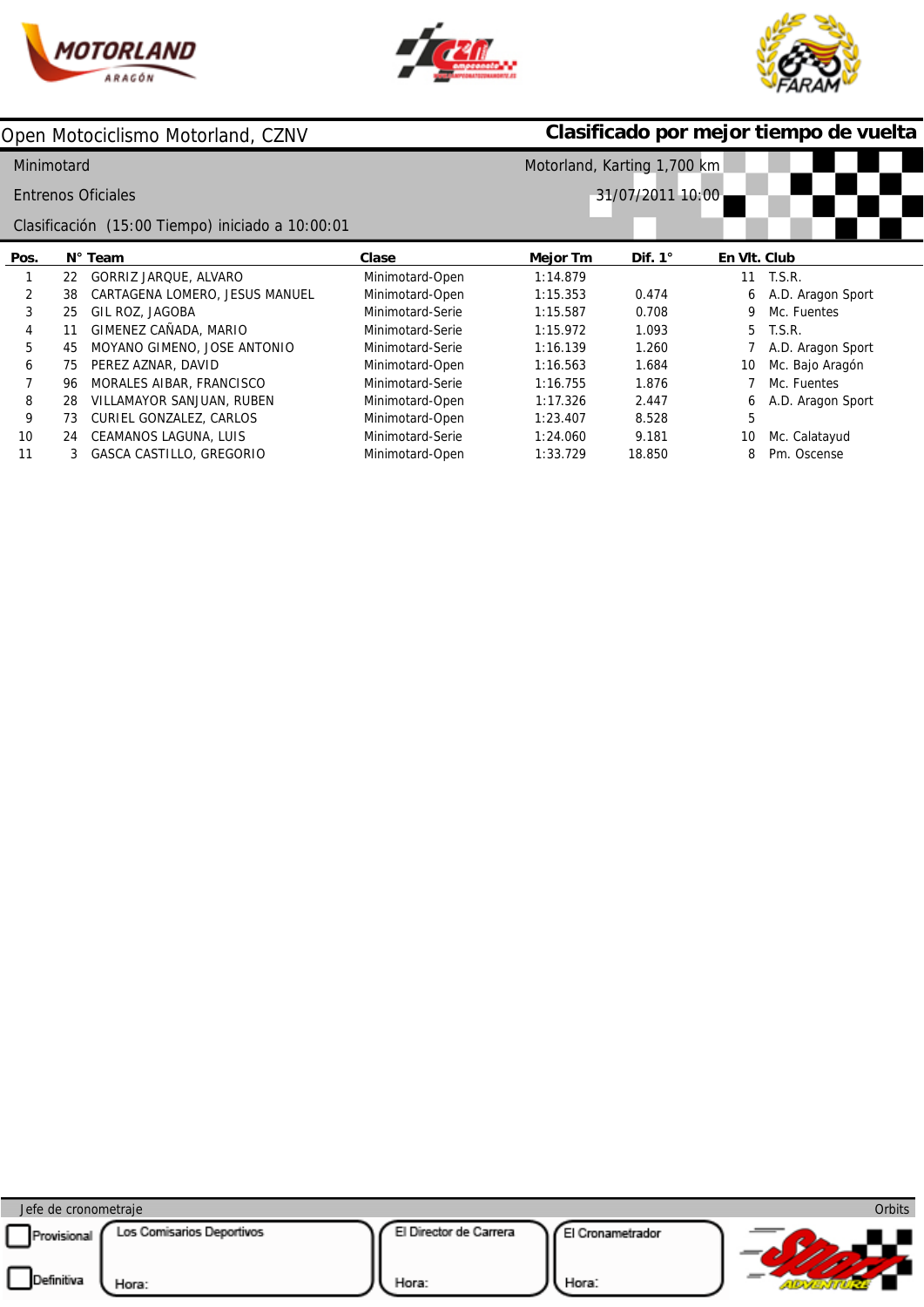





|            |    | Open Motociclismo Motorland, CZNV                |                  | Clasificado por mejor tiempo de vuelta |                |              |                   |  |  |  |  |
|------------|----|--------------------------------------------------|------------------|----------------------------------------|----------------|--------------|-------------------|--|--|--|--|
| Minimotard |    |                                                  |                  | Motorland, Karting 1,700 km            |                |              |                   |  |  |  |  |
|            |    | <b>Entrenos Oficiales</b>                        |                  | 31/07/2011 10:00                       |                |              |                   |  |  |  |  |
|            |    | Clasificación (15:00 Tiempo) iniciado a 10:00:01 |                  |                                        |                |              |                   |  |  |  |  |
| Pos.       |    | N° Team                                          | Clase            | Mejor Tm                               | Dif. $1^\circ$ | En VIt. Club |                   |  |  |  |  |
| 1          | 22 | GORRIZ JARQUE, ALVARO                            | Minimotard-Open  | 1:14.879                               |                | 11           | T.S.R.            |  |  |  |  |
| 2          | 38 | CARTAGENA LOMERO, JESUS MANUEL                   | Minimotard-Open  | 1:15.353                               | 0.474          | 6            | A.D. Aragon Sport |  |  |  |  |
| 3          | 25 | GIL ROZ, JAGOBA                                  | Minimotard-Serie | 1:15.587                               | 0.708          | 9            | Mc. Fuentes       |  |  |  |  |
| 4          | 11 | GIMENEZ CAÑADA, MARIO                            | Minimotard-Serie | 1:15.972                               | 1.093          | 5            | T.S.R.            |  |  |  |  |
| 5          | 45 | MOYANO GIMENO, JOSE ANTONIO                      | Minimotard-Serie | 1:16.139                               | 1.260          |              | A.D. Aragon Sport |  |  |  |  |
| 6          | 75 | PEREZ AZNAR, DAVID                               | Minimotard-Open  | 1:16.563                               | 1.684          | 10           | Mc. Bajo Aragón   |  |  |  |  |
|            | 96 | MORALES AIBAR, FRANCISCO                         | Minimotard-Serie | 1:16.755                               | 1.876          |              | Mc. Fuentes       |  |  |  |  |
| 8          | 28 | VILLAMAYOR SANJUAN, RUBEN                        | Minimotard-Open  | 1:17.326                               | 2.447          | 6            | A.D. Aragon Sport |  |  |  |  |
| 9          | 73 | CURIEL GONZALEZ, CARLOS                          | Minimotard-Open  | 1:23.407                               | 8.528          | 5            |                   |  |  |  |  |
| 10         | 24 | CEAMANOS LAGUNA, LUIS                            | Minimotard-Serie | 1:24.060                               | 9.181          | 10           | Mc. Calatayud     |  |  |  |  |
|            |    | GASCA CASTILLO, GREGORIO                         | Minimotard-Open  | 1:33.729                               | 18.850         | 8            | Pm. Oscense       |  |  |  |  |

| Jefe de cronometraje                                            |                                                              | Orbits |
|-----------------------------------------------------------------|--------------------------------------------------------------|--------|
| Los Comisarios Deportivos<br>Provisional<br>Definitiva<br>Hora: | El Director de Carrera<br>El Cronametrador<br>Hora:<br>Hora: |        |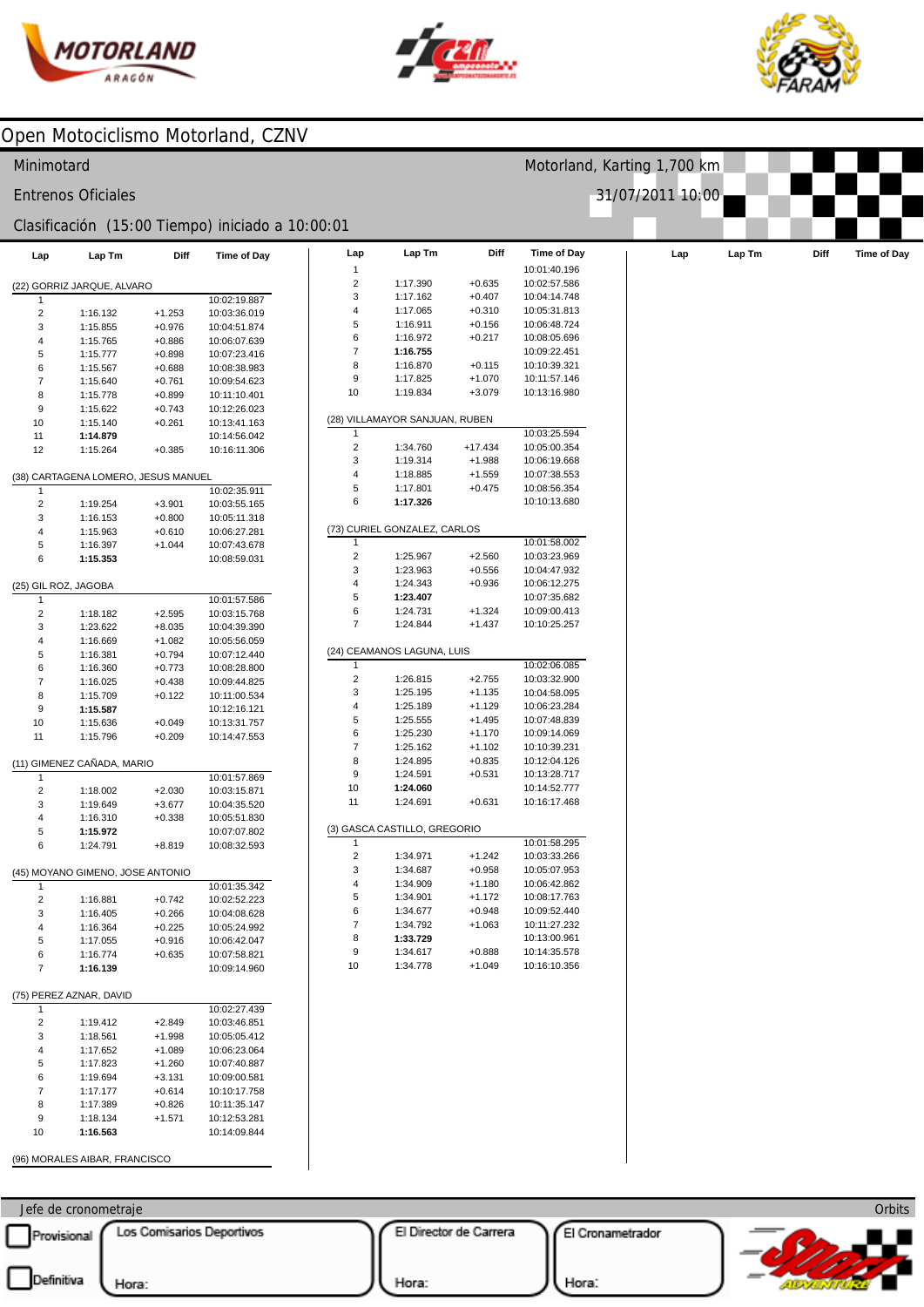



Motorland, Karting 1,700 km

31/07/2011 10:00



#### Open Motociclismo Motorland, CZNV

#### Minimotard

Entrenos Oficiales

#### Clasificación (15:00 Tiempo) iniciado a 10:00:01

| Lap                      | Lap Tm                              | Diff                 | Time of Day                  | Lap                     | Lap Tm                         | Diff      | <b>Time of Day</b> | Lap | Lap Tm | Diff | Time of Day |
|--------------------------|-------------------------------------|----------------------|------------------------------|-------------------------|--------------------------------|-----------|--------------------|-----|--------|------|-------------|
|                          |                                     |                      |                              | 1                       |                                |           | 10:01:40.196       |     |        |      |             |
|                          | (22) GORRIZ JARQUE, ALVARO          |                      |                              | $\overline{\mathbf{c}}$ | 1:17.390                       | $+0.635$  | 10:02:57.586       |     |        |      |             |
| -1                       |                                     |                      | 10:02:19.887                 | 3                       | 1:17.162                       | $+0.407$  | 10:04:14.748       |     |        |      |             |
| $\overline{c}$           | 1:16.132                            | $+1.253$             | 10:03:36.019                 | 4                       | 1:17.065                       | $+0.310$  | 10:05:31.813       |     |        |      |             |
| 3                        | 1:15.855                            | $+0.976$             | 10:04:51.874                 | 5                       | 1:16.911                       | $+0.156$  | 10:06:48.724       |     |        |      |             |
| $\overline{\mathbf{4}}$  | 1:15.765                            | $+0.886$             | 10:06:07.639                 | 6                       | 1:16.972                       | $+0.217$  | 10:08:05.696       |     |        |      |             |
| 5                        | 1:15.777                            | $+0.898$             | 10:07:23.416                 | 7                       | 1:16.755                       |           | 10:09:22.451       |     |        |      |             |
| 6                        | 1:15.567                            | $+0.688$             | 10:08:38.983                 | 8                       | 1:16.870                       | $+0.115$  | 10:10:39.321       |     |        |      |             |
| $\overline{7}$           | 1:15.640                            | $+0.761$             | 10:09:54.623                 | 9                       | 1:17.825                       | $+1.070$  | 10:11:57.146       |     |        |      |             |
| 8                        | 1:15.778                            | $+0.899$             | 10:11:10.401                 | 10                      | 1:19.834                       | $+3.079$  | 10:13:16.980       |     |        |      |             |
| $\boldsymbol{9}$         | 1:15.622                            | $+0.743$             | 10:12:26.023                 |                         | (28) VILLAMAYOR SANJUAN, RUBEN |           |                    |     |        |      |             |
| 10                       | 1:15.140                            | $+0.261$             | 10:13:41.163                 |                         |                                |           | 10:03:25.594       |     |        |      |             |
| 11                       | 1:14.879                            |                      | 10:14:56.042                 | 2                       | 1:34.760                       | $+17.434$ | 10:05:00.354       |     |        |      |             |
| 12                       | 1:15.264                            | $+0.385$             | 10:16:11.306                 | 3                       | 1:19.314                       | $+1.988$  | 10:06:19.668       |     |        |      |             |
|                          |                                     |                      |                              | 4                       | 1:18.885                       | $+1.559$  | 10:07:38.553       |     |        |      |             |
|                          | (38) CARTAGENA LOMERO, JESUS MANUEL |                      | 10:02:35.911                 | 5                       | 1:17.801                       | $+0.475$  | 10:08:56.354       |     |        |      |             |
| 1                        |                                     |                      |                              | 6                       | 1:17.326                       |           | 10:10:13.680       |     |        |      |             |
| $\sqrt{2}$               | 1:19.254                            | $+3.901$             | 10:03:55.165                 |                         |                                |           |                    |     |        |      |             |
| 3<br>$\overline{4}$      | 1:16.153                            | $+0.800$             | 10:05:11.318                 |                         | (73) CURIEL GONZALEZ, CARLOS   |           |                    |     |        |      |             |
| 5                        | 1:15.963<br>1:16.397                | $+0.610$<br>$+1.044$ | 10:06:27.281<br>10:07:43.678 |                         |                                |           | 10:01:58.002       |     |        |      |             |
| 6                        | 1:15.353                            |                      |                              | 2                       | 1:25.967                       | $+2.560$  | 10:03:23.969       |     |        |      |             |
|                          |                                     |                      | 10:08:59.031                 | 3                       | 1:23.963                       | $+0.556$  | 10:04:47.932       |     |        |      |             |
| (25) GIL ROZ, JAGOBA     |                                     |                      |                              | 4                       | 1:24.343                       | $+0.936$  | 10:06:12.275       |     |        |      |             |
| $\mathbf{1}$             |                                     |                      | 10:01:57.586                 | 5                       | 1:23.407                       |           | 10:07:35.682       |     |        |      |             |
| $\overline{c}$           | 1:18.182                            | $+2.595$             | 10:03:15.768                 | 6                       | 1:24.731                       | $+1.324$  | 10:09:00.413       |     |        |      |             |
| 3                        | 1:23.622                            | $+8.035$             | 10:04:39.390                 | $\overline{7}$          | 1:24.844                       | $+1.437$  | 10:10:25.257       |     |        |      |             |
| $\overline{4}$           | 1:16.669                            | $+1.082$             | 10:05:56.059                 |                         |                                |           |                    |     |        |      |             |
| 5                        | 1:16.381                            | $+0.794$             | 10:07:12.440                 |                         | (24) CEAMANOS LAGUNA, LUIS     |           |                    |     |        |      |             |
| 6                        | 1:16.360                            | $+0.773$             | 10:08:28.800                 | 1                       |                                |           | 10:02:06.085       |     |        |      |             |
| $\overline{\mathcal{I}}$ | 1:16.025                            | $+0.438$             | 10:09:44.825                 | $\overline{\mathbf{c}}$ | 1:26.815                       | $+2.755$  | 10:03:32.900       |     |        |      |             |
| 8                        | 1:15.709                            | $+0.122$             | 10:11:00.534                 | 3                       | 1:25.195                       | $+1.135$  | 10:04:58.095       |     |        |      |             |
| $\boldsymbol{9}$         | 1:15.587                            |                      | 10:12:16.121                 | 4                       | 1:25.189                       | $+1.129$  | 10:06:23.284       |     |        |      |             |
| 10                       | 1:15.636                            | $+0.049$             | 10:13:31.757                 | 5                       | 1:25.555                       | $+1.495$  | 10:07:48.839       |     |        |      |             |
| 11                       | 1:15.796                            | $+0.209$             | 10:14:47.553                 | 6                       | 1:25.230                       | $+1.170$  | 10:09:14.069       |     |        |      |             |
|                          |                                     |                      |                              | $\overline{7}$          | 1:25.162                       | $+1.102$  | 10:10:39.231       |     |        |      |             |
|                          | (11) GIMENEZ CAÑADA, MARIO          |                      |                              | 8                       | 1:24.895                       | $+0.835$  | 10:12:04.126       |     |        |      |             |
| 1                        |                                     |                      | 10:01:57.869                 | 9                       | 1:24.591                       | $+0.531$  | 10:13:28.717       |     |        |      |             |
| $\overline{c}$           | 1:18.002                            | $+2.030$             | 10:03:15.871                 | 10                      | 1:24.060                       |           | 10:14:52.777       |     |        |      |             |
| 3                        | 1:19.649                            | $+3.677$             | 10:04:35.520                 | 11                      | 1:24.691                       | $+0.631$  | 10:16:17.468       |     |        |      |             |
| $\overline{4}$           | 1:16.310                            | $+0.338$             | 10:05:51.830                 |                         |                                |           |                    |     |        |      |             |
| 5                        | 1:15.972                            |                      | 10:07:07.802                 |                         | (3) GASCA CASTILLO, GREGORIO   |           |                    |     |        |      |             |
| 6                        | 1:24.791                            | $+8.819$             | 10:08:32.593                 |                         |                                |           | 10:01:58.295       |     |        |      |             |
|                          |                                     |                      |                              | 2                       | 1:34.971                       | $+1.242$  | 10:03:33.266       |     |        |      |             |
|                          | (45) MOYANO GIMENO, JOSE ANTONIO    |                      |                              | 3                       | 1:34.687                       | $+0.958$  | 10:05:07.953       |     |        |      |             |
| -1                       |                                     |                      | 10:01:35.342                 | 4                       | 1:34.909                       | $+1.180$  | 10:06:42.862       |     |        |      |             |
| $\overline{c}$           | 1:16.881                            | $+0.742$             | 10:02:52.223                 | 5                       | 1:34.901                       | $+1.172$  | 10:08:17.763       |     |        |      |             |
| 3                        | 1:16.405                            | $+0.266$             | 10:04:08.628                 | 6                       | 1:34.677                       | $+0.948$  | 10:09:52.440       |     |        |      |             |
| 4                        | 1:16.364                            | $+0.225$             | 10:05:24.992                 | 7                       | 1:34.792                       | $+1.063$  | 10:11:27.232       |     |        |      |             |
| 5                        | 1:17.055                            | $+0.916$             | 10:06:42.047                 | 8                       | 1:33.729                       |           | 10:13:00.961       |     |        |      |             |
| 6                        | 1:16.774                            | $+0.635$             | 10:07:58.821                 | 9                       | 1:34.617                       | $+0.888$  | 10:14:35.578       |     |        |      |             |
| $\overline{7}$           | 1:16.139                            |                      | 10:09:14.960                 | 10                      | 1:34.778                       | $+1.049$  | 10:16:10.356       |     |        |      |             |
|                          | (75) PEREZ AZNAR, DAVID             |                      |                              |                         |                                |           |                    |     |        |      |             |
| 1                        |                                     |                      | 10:02:27.439                 |                         |                                |           |                    |     |        |      |             |
| $\overline{2}$           | 1:19.412                            | $+2.849$             | 10:03:46.851                 |                         |                                |           |                    |     |        |      |             |
| 3                        | 1:18.561                            | $+1.998$             | 10:05:05.412                 |                         |                                |           |                    |     |        |      |             |
| $\overline{\mathbf{4}}$  | 1:17.652                            | $+1.089$             | 10:06:23.064                 |                         |                                |           |                    |     |        |      |             |
| 5                        | 1:17.823                            | $+1.260$             | 10:07:40.887                 |                         |                                |           |                    |     |        |      |             |
| 6                        | 1:19.694                            | $+3.131$             | 10:09:00.581                 |                         |                                |           |                    |     |        |      |             |
| $\overline{\mathcal{I}}$ | 1:17.177                            | $+0.614$             | 10:10:17.758                 |                         |                                |           |                    |     |        |      |             |
| 8                        | 1:17.389                            | $+0.826$             | 10:11:35.147                 |                         |                                |           |                    |     |        |      |             |
| 9                        | 1:18.134                            | $+1.571$             | 10:12:53.281                 |                         |                                |           |                    |     |        |      |             |

| 2                   | 1:17.390                       | $+0.635$  | 10:02:57.586 |
|---------------------|--------------------------------|-----------|--------------|
| 3                   | 1:17.162                       | $+0.407$  | 10:04:14.748 |
| 4                   | 1:17.065                       | $+0.310$  | 10:05:31.813 |
| 5                   | 1:16.911                       | $+0.156$  | 10:06:48.724 |
| 6                   | 1:16.972                       | $+0.217$  | 10:08:05.696 |
| 7                   | 1:16.755                       |           | 10:09:22.451 |
| 8                   | 1:16.870                       | $+0.115$  | 10:10:39.321 |
| 9                   | 1:17.825                       | $+1.070$  | 10:11:57.146 |
| 10                  | 1:19.834                       | $+3.079$  | 10:13:16.980 |
|                     |                                |           |              |
|                     | (28) VILLAMAYOR SANJUAN, RUBEN |           |              |
| 1                   |                                |           | 10:03:25.594 |
| $\overline{2}$      | 1:34.760                       | $+17.434$ | 10:05:00.354 |
| 3                   | 1:19.314                       | $+1.988$  | 10:06:19.668 |
| 4                   | 1:18.885                       | $+1.559$  | 10:07:38.553 |
| 5                   | 1:17.801                       | $+0.475$  | 10:08:56.354 |
| 6                   | 1:17.326                       |           | 10:10:13.680 |
|                     | (73) CURIEL GONZALEZ, CARLOS   |           |              |
| 1                   |                                |           | 10:01:58.002 |
| $\overline{2}$      | 1:25.967                       | $+2.560$  | 10:03:23.969 |
| 3                   | 1:23.963                       | $+0.556$  | 10:04:47.932 |
| 4                   | 1:24.343                       | $+0.936$  | 10:06:12.275 |
| 5                   | 1:23.407                       |           | 10:07:35.682 |
|                     | 1:24.731                       | $+1.324$  | 10:09:00.413 |
| 6<br>$\overline{7}$ | 1:24.844                       | $+1.437$  | 10:10:25.257 |
|                     |                                |           |              |
|                     | (24) CEAMANOS LAGUNA, LUIS     |           |              |
| 1                   |                                |           | 10:02:06.085 |
| $\overline{2}$      | 1:26.815                       | $+2.755$  | 10:03:32.900 |
| 3                   | 1:25.195                       | $+1.135$  | 10:04:58.095 |
| 4                   | 1:25.189                       | $+1.129$  | 10:06:23.284 |
| 5                   | 1:25.555                       | $+1.495$  | 10:07:48.839 |
| 6                   | 1:25.230                       | $+1.170$  | 10:09:14.069 |
| 7                   | 1:25.162                       | $+1.102$  | 10:10:39.231 |
| 8                   | 1:24.895                       | $+0.835$  | 10:12:04.126 |
| 9                   | 1:24.591                       | $+0.531$  | 10:13:28.717 |
| 10                  | 1:24.060                       |           | 10:14:52.777 |
| 11                  | 1:24.691                       | $+0.631$  | 10:16:17.468 |
|                     |                                |           |              |
|                     | (3) GASCA CASTILLO, GREGORIO   |           |              |
| 1                   |                                |           | 10:01:58.295 |
| $\overline{2}$      | 1:34.971                       | $+1.242$  | 10:03:33.266 |
| 3                   | 1:34.687                       | $+0.958$  | 10:05:07.953 |
| 4                   | 1:34.909                       | $+1.180$  | 10:06:42.862 |
| 5                   | 1:34.901                       | $+1.172$  | 10:08:17.763 |
| 6                   | 1:34.677                       | $+0.948$  | 10:09:52.440 |
| 7                   | 1:34.792                       | $+1.063$  | 10:11:27.232 |
| 8                   | 1:33.729                       |           | 10:13:00.961 |
| 9                   | 1:34.617                       | $+0.888$  | 10:14:35.578 |
| 10                  | 1:34.778                       | $+1.049$  | 10:16:10.356 |
|                     |                                |           |              |
|                     |                                |           |              |

Jefe de cronometraje Provisional Los Comisarios Deportivos

(96) MORALES AIBAR, FRANCISCO

**1:16.563**

10

 $\overline{\phantom{a}}$ 

10:14:09.844

El Director de Carrera

Hora:

El Cronametrador



Hora: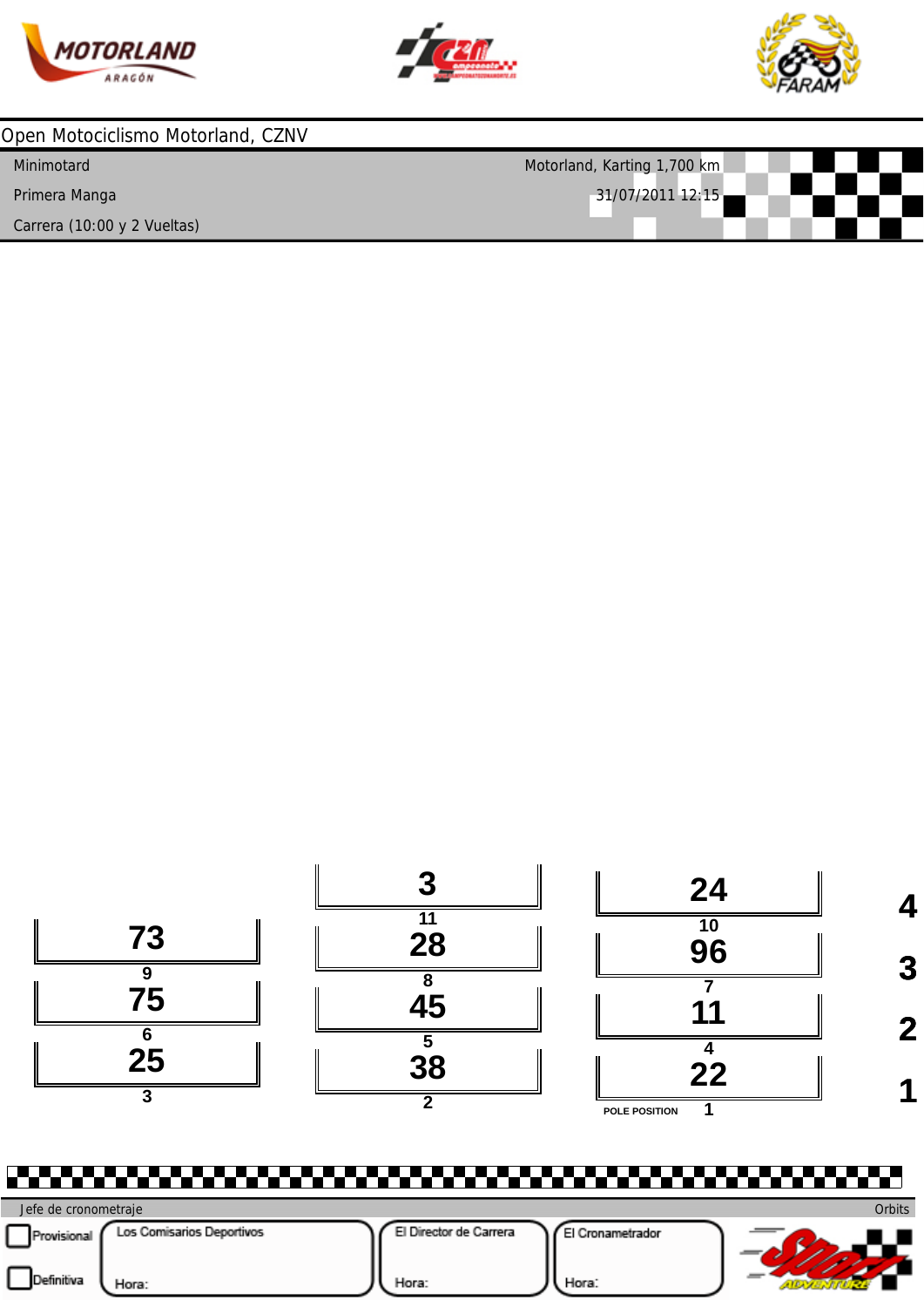





| Open Motociclismo Motorland, CZNV |                             |
|-----------------------------------|-----------------------------|
| Minimotard                        | Motorland, Karting 1,700 km |
| Primera Manga                     | 31/07/2011 12:15            |
| Carrera (10:00 y 2 Vueltas)       |                             |



P.P **Orbits** Jefe de cronometraje Provisional Los Comisarios Deportivos El Director de Carrera El Cronametrador  $\mathcal{D}$  $\Box$ Hora: Hora:  $\overline{\phantom{a}}$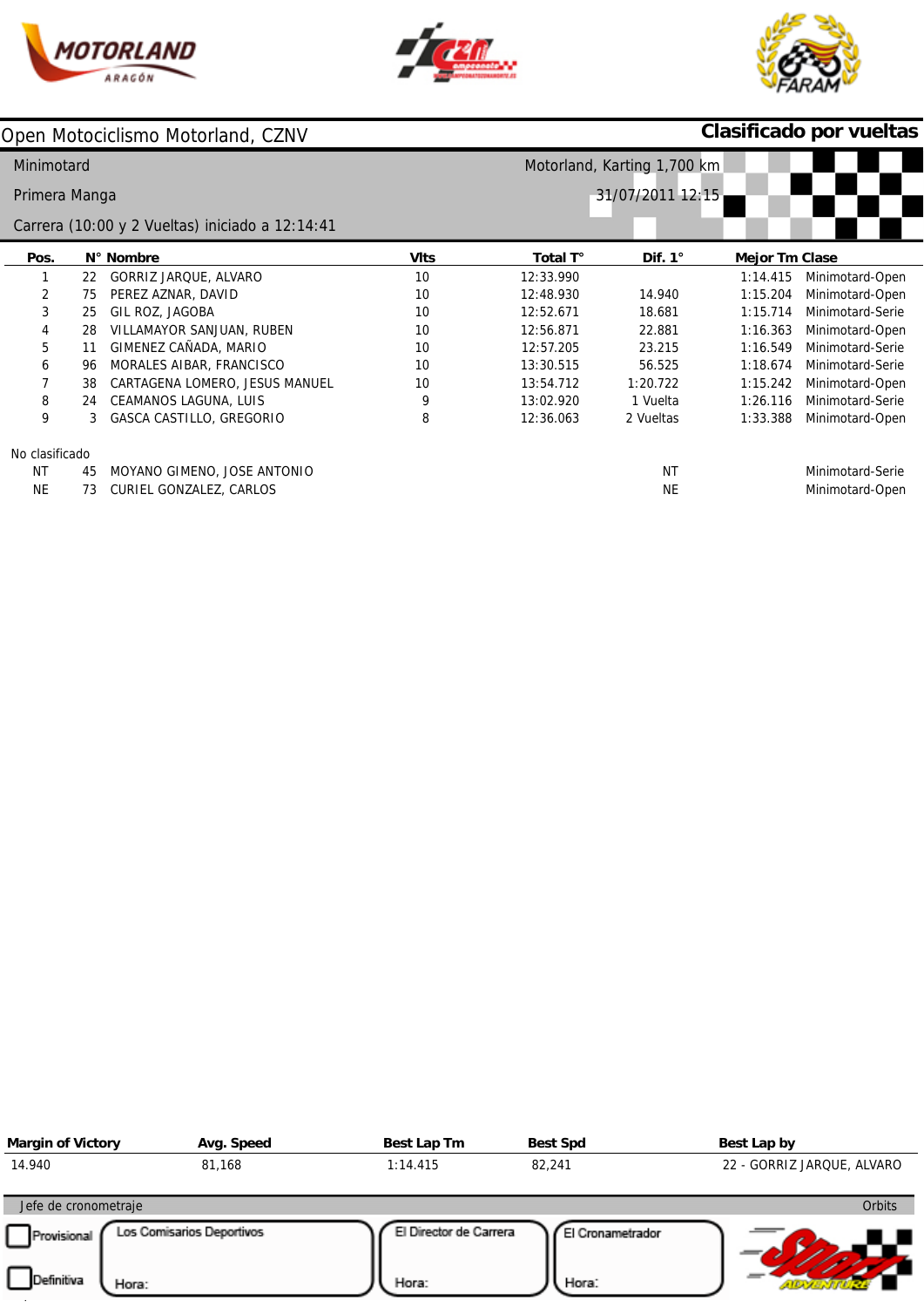





# **Clasificado por vueltas**

| Minimotard<br>Motorland, Karting 1,700 km       |    |                                |             |                  |                |                       |                  |  |  |  |
|-------------------------------------------------|----|--------------------------------|-------------|------------------|----------------|-----------------------|------------------|--|--|--|
| Primera Manga                                   |    |                                |             | 31/07/2011 12:15 |                |                       |                  |  |  |  |
| Carrera (10:00 y 2 Vueltas) iniciado a 12:14:41 |    |                                |             |                  |                |                       |                  |  |  |  |
| Pos.                                            |    | N° Nombre                      | <b>VIts</b> | Total T°         | Dif. $1^\circ$ | <b>Mejor Tm Clase</b> |                  |  |  |  |
|                                                 | 22 | GORRIZ JARQUE, ALVARO          | 10          | 12:33.990        |                | 1:14.415              | Minimotard-Open  |  |  |  |
| 2                                               | 75 | PEREZ AZNAR, DAVID             | 10          | 12:48.930        | 14.940         | 1:15.204              | Minimotard-Open  |  |  |  |
| 3                                               | 25 | GIL ROZ, JAGOBA                | 10          | 12:52.671        | 18.681         | 1:15.714              | Minimotard-Serie |  |  |  |
| 4                                               | 28 | VILLAMAYOR SANJUAN, RUBEN      | 10          | 12:56.871        | 22.881         | 1:16.363              | Minimotard-Open  |  |  |  |
| 5                                               | 11 | GIMENEZ CAÑADA, MARIO          | 10          | 12:57.205        | 23.215         | 1:16.549              | Minimotard-Serie |  |  |  |
| 6                                               | 96 | MORALES AIBAR, FRANCISCO       | 10          | 13:30.515        | 56.525         | 1:18.674              | Minimotard-Serie |  |  |  |
|                                                 | 38 | CARTAGENA LOMERO, JESUS MANUEL | 10          | 13:54.712        | 1:20.722       | 1:15.242              | Minimotard-Open  |  |  |  |
| 8                                               | 24 | CEAMANOS LAGUNA, LUIS          | 9           | 13:02.920        | 1 Vuelta       | 1:26.116              | Minimotard-Serie |  |  |  |
| 9                                               | 3  | GASCA CASTILLO, GREGORIO       | 8           | 12:36.063        | 2 Vueltas      | 1:33.388              | Minimotard-Open  |  |  |  |
| No clasificado                                  |    |                                |             |                  |                |                       |                  |  |  |  |
| <b>NT</b>                                       | 45 | MOYANO GIMENO, JOSE ANTONIO    |             |                  | <b>NT</b>      |                       | Minimotard-Serie |  |  |  |
| <b>NE</b>                                       | 73 | CURIEL GONZALEZ, CARLOS        |             |                  | <b>NE</b>      |                       | Minimotard-Open  |  |  |  |

| <b>Margin of Victory</b>   | Avg. Speed                | Best Lap Tm            | <b>Best Spd</b>  | Best Lap by                |
|----------------------------|---------------------------|------------------------|------------------|----------------------------|
| 14.940                     | 81,168                    | 1:14.415               | 82,241           | 22 - GORRIZ JARQUE, ALVARO |
| Jefe de cronometraje       |                           |                        |                  | <b>Orbits</b>              |
| Provisional                | Los Comisarios Deportivos | El Director de Carrera | El Cronametrador |                            |
| <b>Definitiva</b><br>Hora: |                           | Hora:                  | Hora:            |                            |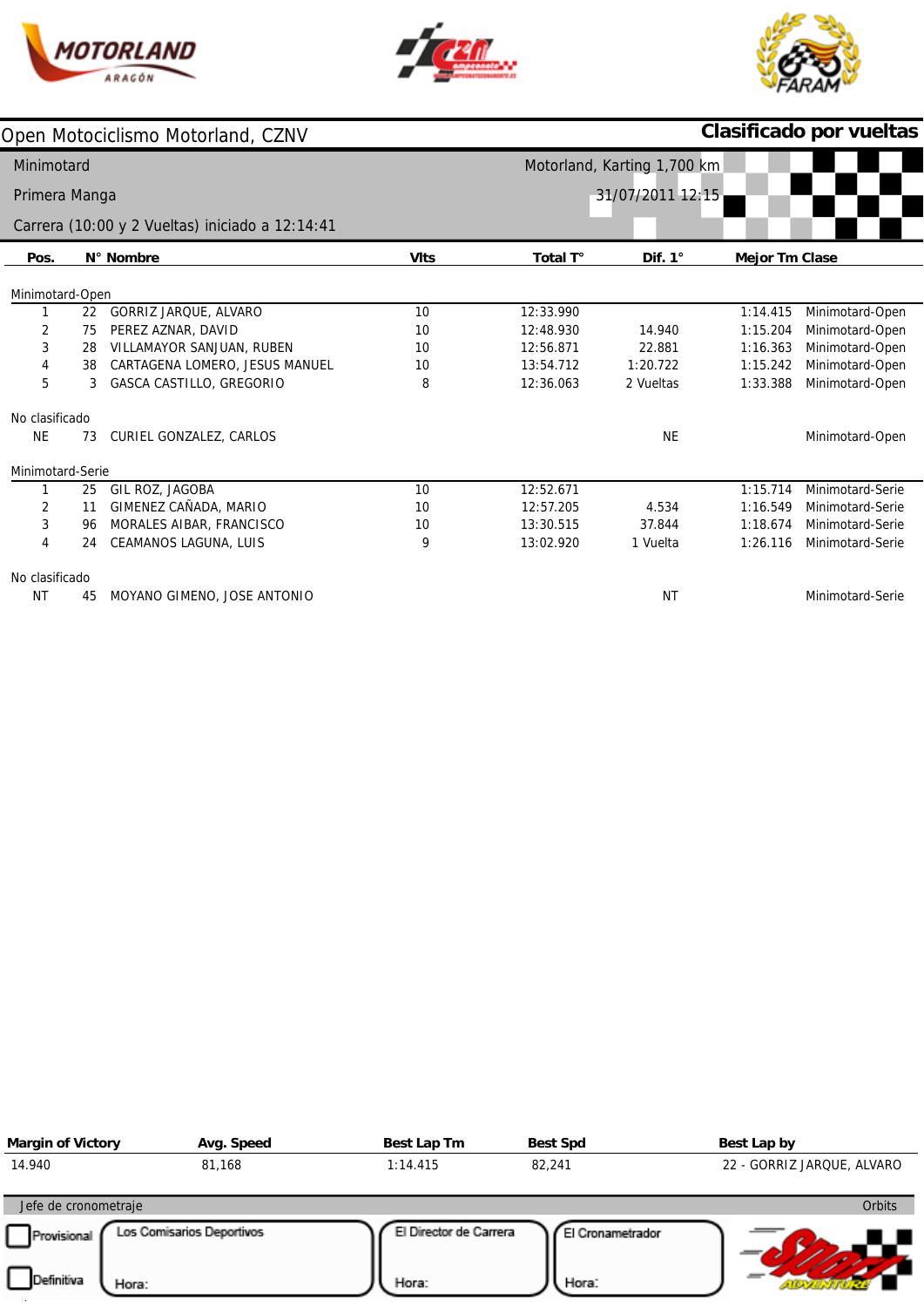





|                                   |    | Open Motociclismo Motorland, CZNV               |             | Clasificado por vueltas |                             |                       |                  |  |  |  |
|-----------------------------------|----|-------------------------------------------------|-------------|-------------------------|-----------------------------|-----------------------|------------------|--|--|--|
| Minimotard                        |    |                                                 |             |                         | Motorland, Karting 1,700 km |                       |                  |  |  |  |
| 31/07/2011 12:15<br>Primera Manga |    |                                                 |             |                         |                             |                       |                  |  |  |  |
|                                   |    | Carrera (10:00 y 2 Vueltas) iniciado a 12:14:41 |             |                         |                             |                       |                  |  |  |  |
| Pos.                              |    | N° Nombre                                       | <b>VIts</b> | Total T°                | Dif. $1^\circ$              | <b>Mejor Tm Clase</b> |                  |  |  |  |
| Minimotard-Open                   |    |                                                 |             |                         |                             |                       |                  |  |  |  |
|                                   | 22 | GORRIZ JARQUE, ALVARO                           | 10          | 12:33.990               |                             | 1:14.415              | Minimotard-Open  |  |  |  |
| 2                                 | 75 | PEREZ AZNAR, DAVID                              | 10          | 12:48.930               | 14.940                      | 1:15.204              | Minimotard-Open  |  |  |  |
| 3                                 | 28 | VILLAMAYOR SANJUAN, RUBEN                       | 10          | 12:56.871               | 22.881                      | 1:16.363              | Minimotard-Open  |  |  |  |
| 4                                 | 38 | CARTAGENA LOMERO, JESUS MANUEL                  | 10          | 13:54.712               | 1:20.722                    | 1:15.242              | Minimotard-Open  |  |  |  |
| 5                                 | 3  | <b>GASCA CASTILLO, GREGORIO</b>                 | 8           | 12:36.063               | 2 Vueltas                   | 1:33.388              | Minimotard-Open  |  |  |  |
| No clasificado                    |    |                                                 |             |                         |                             |                       |                  |  |  |  |
| <b>NE</b>                         | 73 | CURIEL GONZALEZ, CARLOS                         |             |                         | <b>NE</b>                   |                       | Minimotard-Open  |  |  |  |
| Minimotard-Serie                  |    |                                                 |             |                         |                             |                       |                  |  |  |  |
|                                   | 25 | GIL ROZ, JAGOBA                                 | 10          | 12:52.671               |                             | 1:15.714              | Minimotard-Serie |  |  |  |
| 2                                 | 11 | GIMENEZ CAÑADA, MARIO                           | 10          | 12:57.205               | 4.534                       | 1:16.549              | Minimotard-Serie |  |  |  |
| 3                                 | 96 | MORALES AIBAR, FRANCISCO                        | 10          | 13:30.515               | 37.844                      | 1:18.674              | Minimotard-Serie |  |  |  |
| $\overline{4}$                    | 24 | CEAMANOS LAGUNA, LUIS                           | 9           | 13:02.920               | 1 Vuelta                    | 1:26.116              | Minimotard-Serie |  |  |  |
| No clasificado                    |    |                                                 |             |                         |                             |                       |                  |  |  |  |
| NT                                | 45 | MOYANO GIMENO, JOSE ANTONIO                     |             |                         | <b>NT</b>                   |                       | Minimotard-Serie |  |  |  |

| <b>Margin of Victory</b> | Avg. Speed                | Best Lap Tm            | <b>Best Spd</b>  | Best Lap by                |
|--------------------------|---------------------------|------------------------|------------------|----------------------------|
| 14.940                   | 81,168                    | 1:14.415               | 82,241           | 22 - GORRIZ JARQUE, ALVARO |
| Jefe de cronometraje     |                           |                        |                  | <b>Orbits</b>              |
| Provisional              | Los Comisarios Deportivos | El Director de Carrera | El Cronametrador |                            |
| Definitiva<br>Hora:      |                           | Hora:                  | Hora:            |                            |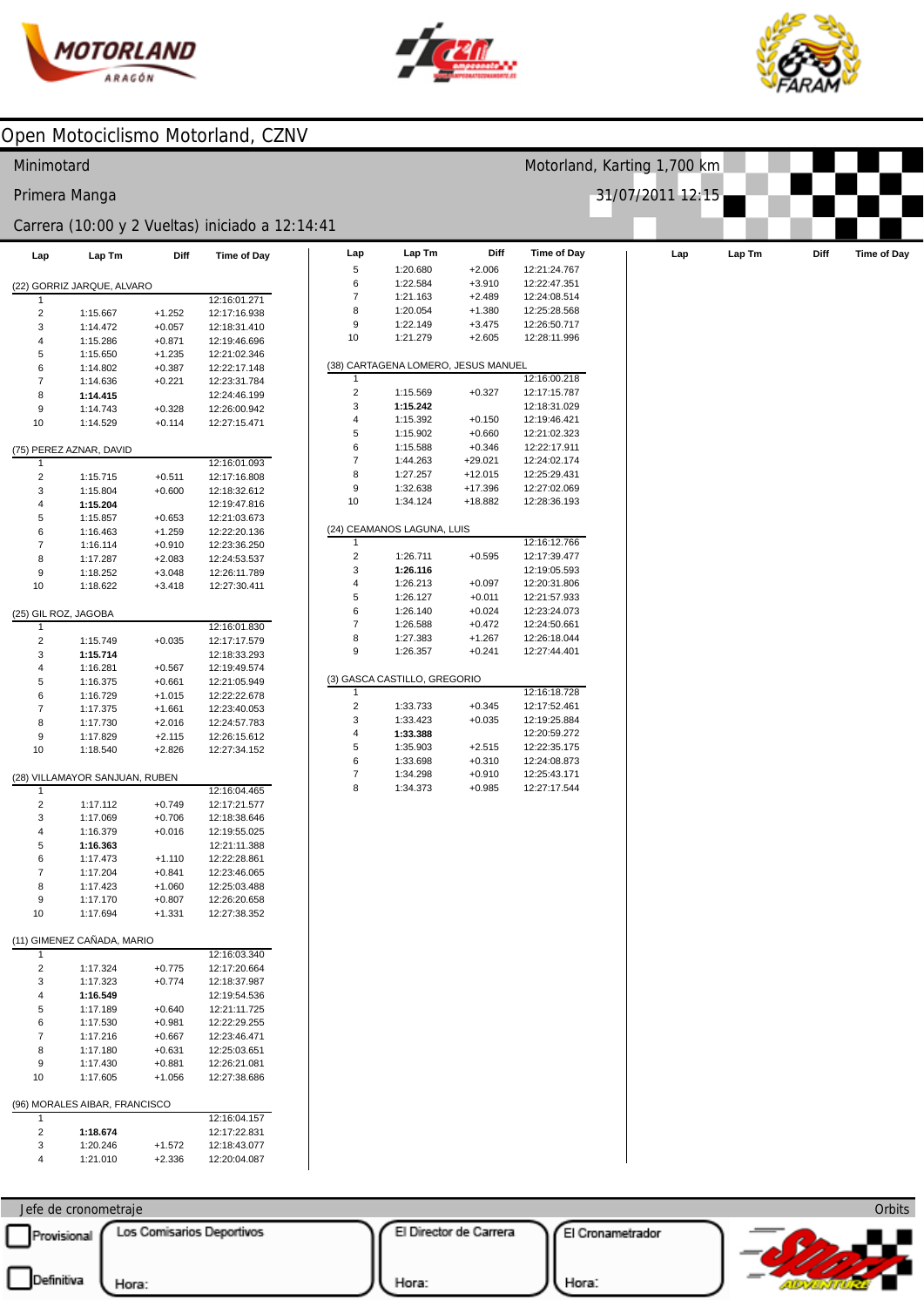



Motorland, Karting 1,700 km

31/07/2011 12:15



### Open Motociclismo Motorland, CZNV

#### Minimotard

#### Primera Manga

#### Carrera (10:00 y 2 Vueltas) iniciado a 12:14:41

| Lap                     | Lap Tm                         | Diff                 | Time of Day                  | Lap                     | Lap Tm                              | Diff                 | <b>Time of Day</b>           | Lap | Lap Tm | Diff | Time of Day |
|-------------------------|--------------------------------|----------------------|------------------------------|-------------------------|-------------------------------------|----------------------|------------------------------|-----|--------|------|-------------|
|                         |                                |                      |                              | 5                       | 1:20.680                            | $+2.006$             | 12:21:24.767                 |     |        |      |             |
|                         | (22) GORRIZ JARQUE, ALVARO     |                      |                              | 6                       | 1:22.584                            | $+3.910$             | 12:22:47.351                 |     |        |      |             |
| 1                       |                                |                      | 12:16:01.271                 | $\overline{7}$          | 1:21.163                            | $+2.489$             | 12:24:08.514                 |     |        |      |             |
| $\overline{c}$          | 1:15.667                       | $+1.252$             | 12:17:16.938                 | 8                       | 1:20.054                            | $+1.380$             | 12:25:28.568                 |     |        |      |             |
| 3                       | 1:14.472                       | $+0.057$             | 12:18:31.410                 | 9                       | 1:22.149                            | $+3.475$             | 12:26:50.717                 |     |        |      |             |
| 4                       | 1:15.286                       | $+0.871$             | 12:19:46.696                 | 10                      | 1:21.279                            | $+2.605$             | 12:28:11.996                 |     |        |      |             |
| 5                       | 1:15.650                       | $+1.235$             | 12:21:02.346                 |                         |                                     |                      |                              |     |        |      |             |
| 6                       | 1:14.802                       | $+0.387$             | 12:22:17.148                 |                         | (38) CARTAGENA LOMERO, JESUS MANUEL |                      |                              |     |        |      |             |
| $\overline{7}$          | 1:14.636                       | $+0.221$             | 12:23:31.784                 | 1                       |                                     |                      | 12:16:00.218                 |     |        |      |             |
| 8                       | 1:14.415                       |                      | 12:24:46.199                 | $\overline{\mathbf{c}}$ | 1:15.569                            | $+0.327$             | 12:17:15.787                 |     |        |      |             |
| 9                       | 1:14.743                       | $+0.328$             | 12:26:00.942                 | 3                       | 1:15.242                            |                      | 12:18:31.029                 |     |        |      |             |
| 10                      | 1:14.529                       | $+0.114$             | 12:27:15.471                 | $\overline{4}$<br>5     | 1:15.392<br>1:15.902                | $+0.150$<br>$+0.660$ | 12:19:46.421<br>12:21:02.323 |     |        |      |             |
|                         |                                |                      |                              | 6                       | 1:15.588                            | $+0.346$             | 12:22:17.911                 |     |        |      |             |
| -1                      | (75) PEREZ AZNAR, DAVID        |                      | 12:16:01.093                 | $\overline{7}$          | 1:44.263                            | $+29.021$            | 12:24:02.174                 |     |        |      |             |
| $\overline{\mathbf{c}}$ | 1:15.715                       | $+0.511$             | 12:17:16.808                 | 8                       | 1:27.257                            | $+12.015$            | 12:25:29.431                 |     |        |      |             |
| 3                       | 1:15.804                       | $+0.600$             | 12:18:32.612                 | 9                       | 1:32.638                            | +17.396              | 12:27:02.069                 |     |        |      |             |
| $\overline{\mathbf{4}}$ | 1:15.204                       |                      | 12:19:47.816                 | 10                      | 1:34.124                            | +18.882              | 12:28:36.193                 |     |        |      |             |
| 5                       | 1:15.857                       | $+0.653$             | 12:21:03.673                 |                         |                                     |                      |                              |     |        |      |             |
| 6                       | 1:16.463                       | $+1.259$             | 12:22:20.136                 |                         | (24) CEAMANOS LAGUNA, LUIS          |                      |                              |     |        |      |             |
| $\overline{7}$          | 1:16.114                       | $+0.910$             | 12:23:36.250                 | 1                       |                                     |                      | 12:16:12.766                 |     |        |      |             |
| 8                       | 1:17.287                       | $+2.083$             | 12:24:53.537                 | $\overline{c}$          | 1:26.711                            | $+0.595$             | 12:17:39.477                 |     |        |      |             |
| 9                       | 1:18.252                       | $+3.048$             | 12:26:11.789                 | 3                       | 1:26.116                            |                      | 12:19:05.593                 |     |        |      |             |
| 10                      | 1:18.622                       | $+3.418$             | 12:27:30.411                 | 4                       | 1:26.213                            | $+0.097$             | 12:20:31.806                 |     |        |      |             |
|                         |                                |                      |                              | 5                       | 1:26.127                            | $+0.011$             | 12:21:57.933                 |     |        |      |             |
|                         | (25) GIL ROZ, JAGOBA           |                      |                              | 6                       | 1:26.140                            | $+0.024$             | 12:23:24.073                 |     |        |      |             |
| -1                      |                                |                      | 12:16:01.830                 | $\boldsymbol{7}$        | 1:26.588                            | $+0.472$             | 12:24:50.661                 |     |        |      |             |
| $\overline{c}$          | 1:15.749                       | $+0.035$             | 12:17:17.579                 | 8                       | 1:27.383                            | $+1.267$             | 12:26:18.044                 |     |        |      |             |
| 3                       | 1:15.714                       |                      | 12:18:33.293                 | 9                       | 1:26.357                            | $+0.241$             | 12:27:44.401                 |     |        |      |             |
| $\overline{\mathbf{4}}$ | 1:16.281                       | $+0.567$             | 12:19:49.574                 |                         |                                     |                      |                              |     |        |      |             |
| 5                       | 1:16.375                       | $+0.661$             | 12:21:05.949                 |                         | (3) GASCA CASTILLO, GREGORIO        |                      |                              |     |        |      |             |
| 6                       | 1:16.729                       | $+1.015$             | 12:22:22.678                 | 1<br>$\overline{c}$     | 1:33.733                            | $+0.345$             | 12:16:18.728<br>12:17:52.461 |     |        |      |             |
| $\overline{7}$          | 1:17.375                       | $+1.661$             | 12:23:40.053                 | 3                       | 1:33.423                            | $+0.035$             | 12:19:25.884                 |     |        |      |             |
| 8<br>9                  | 1:17.730<br>1:17.829           | $+2.016$<br>$+2.115$ | 12:24:57.783<br>12:26:15.612 | 4                       | 1:33.388                            |                      | 12:20:59.272                 |     |        |      |             |
| 10                      | 1:18.540                       | $+2.826$             | 12:27:34.152                 | 5                       | 1:35.903                            | $+2.515$             | 12:22:35.175                 |     |        |      |             |
|                         |                                |                      |                              | 6                       | 1:33.698                            | $+0.310$             | 12:24:08.873                 |     |        |      |             |
|                         | (28) VILLAMAYOR SANJUAN, RUBEN |                      |                              | $\boldsymbol{7}$        | 1:34.298                            | $+0.910$             | 12:25:43.171                 |     |        |      |             |
| $\mathbf{1}$            |                                |                      | 12:16:04.465                 | 8                       | 1:34.373                            | $+0.985$             | 12:27:17.544                 |     |        |      |             |
| $\overline{\mathbf{c}}$ | 1:17.112                       | $+0.749$             | 12:17:21.577                 |                         |                                     |                      |                              |     |        |      |             |
| 3                       | 1:17.069                       | $+0.706$             | 12:18:38.646                 |                         |                                     |                      |                              |     |        |      |             |
| 4                       | 1:16.379                       | $+0.016$             | 12:19:55.025                 |                         |                                     |                      |                              |     |        |      |             |
| 5                       | 1:16.363                       |                      | 12:21:11.388                 |                         |                                     |                      |                              |     |        |      |             |
| 6                       | 1:17.473                       | $+1.110$             | 12:22:28.861                 |                         |                                     |                      |                              |     |        |      |             |
| $\overline{7}$          | 1:17.204                       | $+0.841$             | 12:23:46.065                 |                         |                                     |                      |                              |     |        |      |             |
| 8                       | 1:17.423                       | $+1.060$             | 12:25:03.488                 |                         |                                     |                      |                              |     |        |      |             |
| 9                       | 1:17.170                       | $+0.807$             | 12:26:20.658                 |                         |                                     |                      |                              |     |        |      |             |
| 10                      | 1:17.694                       | $+1.331$             | 12:27:38.352                 |                         |                                     |                      |                              |     |        |      |             |
|                         |                                |                      |                              |                         |                                     |                      |                              |     |        |      |             |
|                         | (11) GIMENEZ CAÑADA, MARIO     |                      |                              |                         |                                     |                      |                              |     |        |      |             |
| -1                      |                                |                      | 12:16:03.340                 |                         |                                     |                      |                              |     |        |      |             |
| $\overline{2}$          | 1:17.324                       | $+0.775$             | 12:17:20.664                 |                         |                                     |                      |                              |     |        |      |             |
| 3                       | 1:17.323                       | $+0.774$             | 12:18:37.987                 |                         |                                     |                      |                              |     |        |      |             |
| 4<br>5                  | 1:16.549<br>1:17.189           | $+0.640$             | 12:19:54.536<br>12:21:11.725 |                         |                                     |                      |                              |     |        |      |             |
| 6                       | 1:17.530                       | $+0.981$             | 12:22:29.255                 |                         |                                     |                      |                              |     |        |      |             |
| $\overline{7}$          | 1:17.216                       | $+0.667$             | 12:23:46.471                 |                         |                                     |                      |                              |     |        |      |             |
| 8                       | 1:17.180                       | $+0.631$             | 12:25:03.651                 |                         |                                     |                      |                              |     |        |      |             |
| 9                       | 1:17.430                       | $+0.881$             | 12:26:21.081                 |                         |                                     |                      |                              |     |        |      |             |
| 10                      | 1:17.605                       | $+1.056$             | 12:27:38.686                 |                         |                                     |                      |                              |     |        |      |             |
|                         |                                |                      |                              |                         |                                     |                      |                              |     |        |      |             |
|                         | (96) MORALES AIBAR, FRANCISCO  |                      |                              |                         |                                     |                      |                              |     |        |      |             |
| 1                       |                                |                      | 12:16:04.157                 |                         |                                     |                      |                              |     |        |      |             |
| $\overline{2}$          | 1:18.674                       |                      | 12:17:22.831                 |                         |                                     |                      |                              |     |        |      |             |
| 3                       | 1:20.246                       | $+1.572$             | 12:18:43.077                 |                         |                                     |                      |                              |     |        |      |             |
| 4                       | 1:21.010                       | $+2.336$             | 12:20:04.087                 |                         |                                     |                      |                              |     |        |      |             |

| 6              | 1:22.584                            | $+3.910$  | 12:22:47.351 |
|----------------|-------------------------------------|-----------|--------------|
| $\overline{7}$ | 1:21.163                            | $+2.489$  | 12:24:08.514 |
| 8              | 1:20.054                            | $+1.380$  | 12:25:28.568 |
| 9              | 1:22.149                            | $+3.475$  | 12:26:50.717 |
| 10             | 1:21.279                            | $+2.605$  | 12:28:11.996 |
|                |                                     |           |              |
|                | (38) CARTAGENA LOMERO, JESUS MANUEL |           |              |
| 1              |                                     |           | 12:16:00.218 |
| $\overline{2}$ | 1:15.569                            | $+0.327$  | 12:17:15.787 |
| 3              | 1:15.242                            |           | 12:18:31.029 |
| 4              | 1:15.392                            | $+0.150$  | 12:19:46.421 |
| 5              | 1:15.902                            | $+0.660$  | 12:21:02.323 |
| 6              | 1:15.588                            | $+0.346$  | 12:22:17.911 |
| 7              | 1:44.263                            | $+29.021$ | 12:24:02.174 |
| 8              | 1:27.257                            | $+12.015$ | 12:25:29.431 |
| 9              | 1:32.638                            | $+17.396$ | 12:27:02.069 |
| 10             | 1:34.124                            | +18.882   | 12:28:36.193 |
|                |                                     |           |              |
|                | (24) CEAMANOS LAGUNA, LUIS          |           |              |
| 1              |                                     |           | 12:16:12.766 |
| 2              | 1:26.711                            | $+0.595$  | 12:17:39.477 |
| 3              | 1:26.116                            |           | 12:19:05.593 |
| 4              | 1:26.213                            | $+0.097$  | 12:20:31.806 |
| 5              | 1:26.127                            | $+0.011$  | 12:21:57.933 |
| 6              | 1:26.140                            | $+0.024$  | 12:23:24.073 |
| $\overline{7}$ | 1:26.588                            | $+0.472$  | 12:24:50.661 |
| 8              | 1:27.383                            | $+1.267$  | 12:26:18.044 |
| 9              | 1:26.357                            | $+0.241$  | 12:27:44.401 |
|                |                                     |           |              |
|                | (3) GASCA CASTILLO, GREGORIO        |           |              |
| 1              |                                     |           | 12:16:18.728 |
| 2              | 1:33.733                            | $+0.345$  | 12:17:52.461 |
| 3              | 1:33.423                            | $+0.035$  | 12:19:25.884 |
| 4              | 1:33.388                            |           | 12:20:59.272 |
| 5              | 1:35.903                            | $+2.515$  | 12:22:35.175 |
| 6              | 1:33.698                            | $+0.310$  | 12:24:08.873 |
| 7              | 1:34.298                            | $+0.910$  | 12:25:43.171 |
| 8              | 1:34.373                            | $+0.985$  | 12:27:17.544 |
|                |                                     |           |              |
|                |                                     |           |              |
|                |                                     |           |              |
|                |                                     |           |              |
|                |                                     |           |              |
|                |                                     |           |              |
|                |                                     |           |              |
|                |                                     |           |              |
|                |                                     |           |              |
|                |                                     |           |              |
|                |                                     |           |              |
|                |                                     |           |              |
|                |                                     |           |              |
|                |                                     |           |              |
|                |                                     |           |              |
|                |                                     |           |              |
|                |                                     |           |              |
|                |                                     |           |              |
|                |                                     |           |              |

Jefe de cronometraje Provisional Los Comisarios Deportivos

 $\overline{\phantom{a}}$ 

El Director de Carrera

El Cronametrador



Hora:

Hora: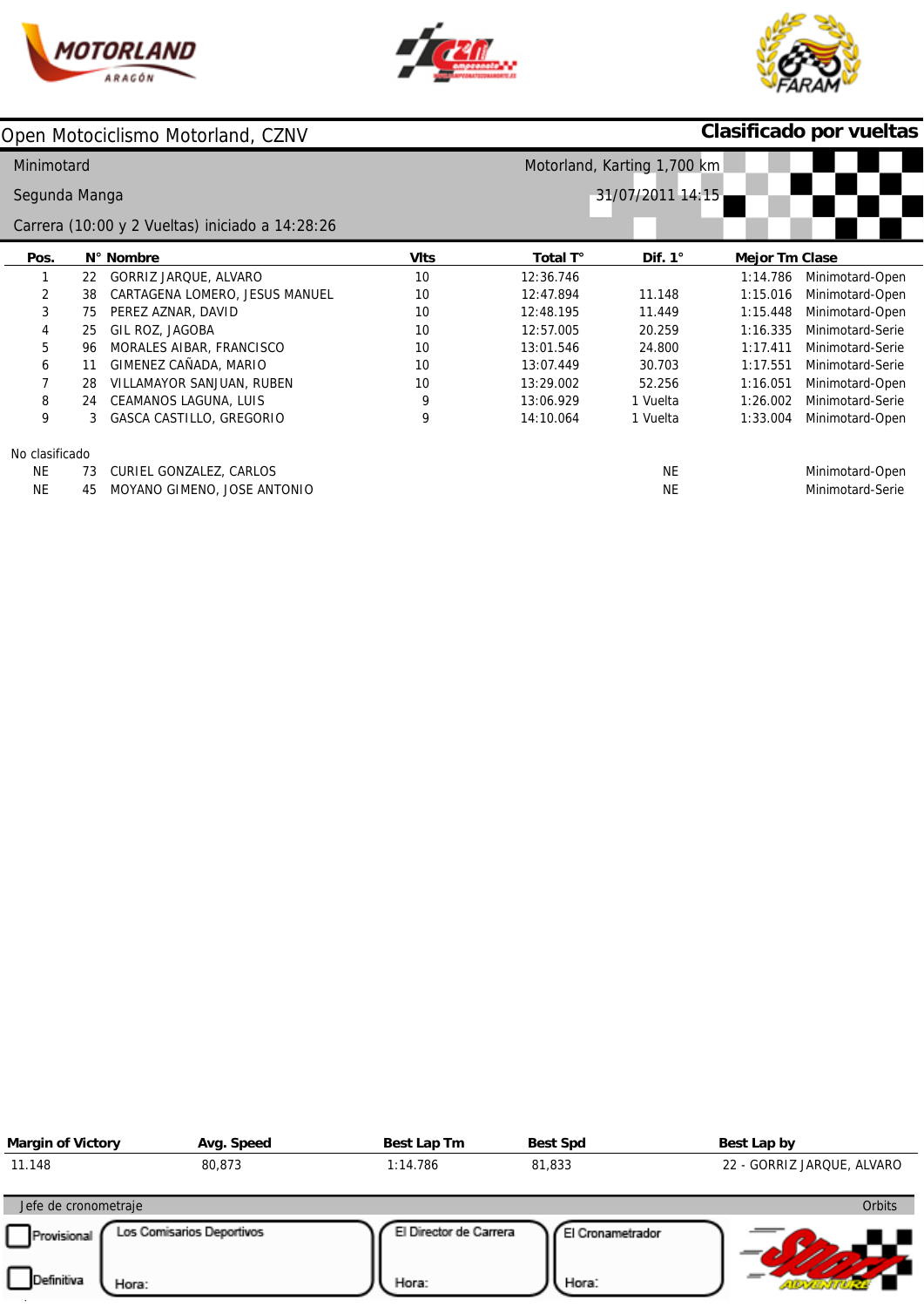





# **Clasificado por vueltas**

| Minimotard     |    |                                                 |             |                  | Motorland, Karting 1,700 km |                       |                  |
|----------------|----|-------------------------------------------------|-------------|------------------|-----------------------------|-----------------------|------------------|
| Segunda Manga  |    |                                                 |             | 31/07/2011 14:15 |                             |                       |                  |
|                |    | Carrera (10:00 y 2 Vueltas) iniciado a 14:28:26 |             |                  |                             |                       |                  |
| Pos.           |    | N° Nombre                                       | <b>VIts</b> | Total T°         | Dif. $1^\circ$              | <b>Mejor Tm Clase</b> |                  |
|                | 22 | GORRIZ JARQUE, ALVARO                           | 10          | 12:36.746        |                             | 1:14.786              | Minimotard-Open  |
| 2              | 38 | CARTAGENA LOMERO, JESUS MANUEL                  | 10          | 12:47.894        | 11.148                      | 1:15.016              | Minimotard-Open  |
| 3              | 75 | PEREZ AZNAR, DAVID                              | 10          | 12:48.195        | 11.449                      | 1:15.448              | Minimotard-Open  |
| 4              | 25 | GIL ROZ, JAGOBA                                 | 10          | 12:57.005        | 20.259                      | 1:16.335              | Minimotard-Serie |
| 5              | 96 | MORALES AIBAR, FRANCISCO                        | 10          | 13:01.546        | 24.800                      | 1:17.411              | Minimotard-Serie |
| 6              | 11 | GIMENEZ CAÑADA, MARIO                           | 10          | 13:07.449        | 30.703                      | 1:17.551              | Minimotard-Serie |
|                | 28 | VILLAMAYOR SANJUAN, RUBEN                       | 10          | 13:29.002        | 52.256                      | 1:16.051              | Minimotard-Open  |
| 8              | 24 | CEAMANOS LAGUNA, LUIS                           | 9           | 13:06.929        | 1 Vuelta                    | 1:26.002              | Minimotard-Serie |
| 9              | 3  | GASCA CASTILLO, GREGORIO                        | 9           | 14:10.064        | 1 Vuelta                    | 1:33.004              | Minimotard-Open  |
| No clasificado |    |                                                 |             |                  |                             |                       |                  |
| <b>NE</b>      | 73 | CURIEL GONZALEZ, CARLOS                         |             |                  | <b>NE</b>                   |                       | Minimotard-Open  |
| NE.            | 45 | MOYANO GIMENO, JOSE ANTONIO                     |             |                  | NE                          |                       | Minimotard-Serie |

| <b>Margin of Victory</b>   | Avg. Speed                | Best Lap Tm            | <b>Best Spd</b>  | Best Lap by                |
|----------------------------|---------------------------|------------------------|------------------|----------------------------|
| 11.148                     | 80,873                    | 1:14.786               | 81,833           | 22 - GORRIZ JARQUE, ALVARO |
| Jefe de cronometraje       |                           |                        |                  | <b>Orbits</b>              |
| Provisional                | Los Comisarios Deportivos | El Director de Carrera | El Cronametrador |                            |
| <b>Definitiva</b><br>Hora: |                           | Hora:                  | Hora:            |                            |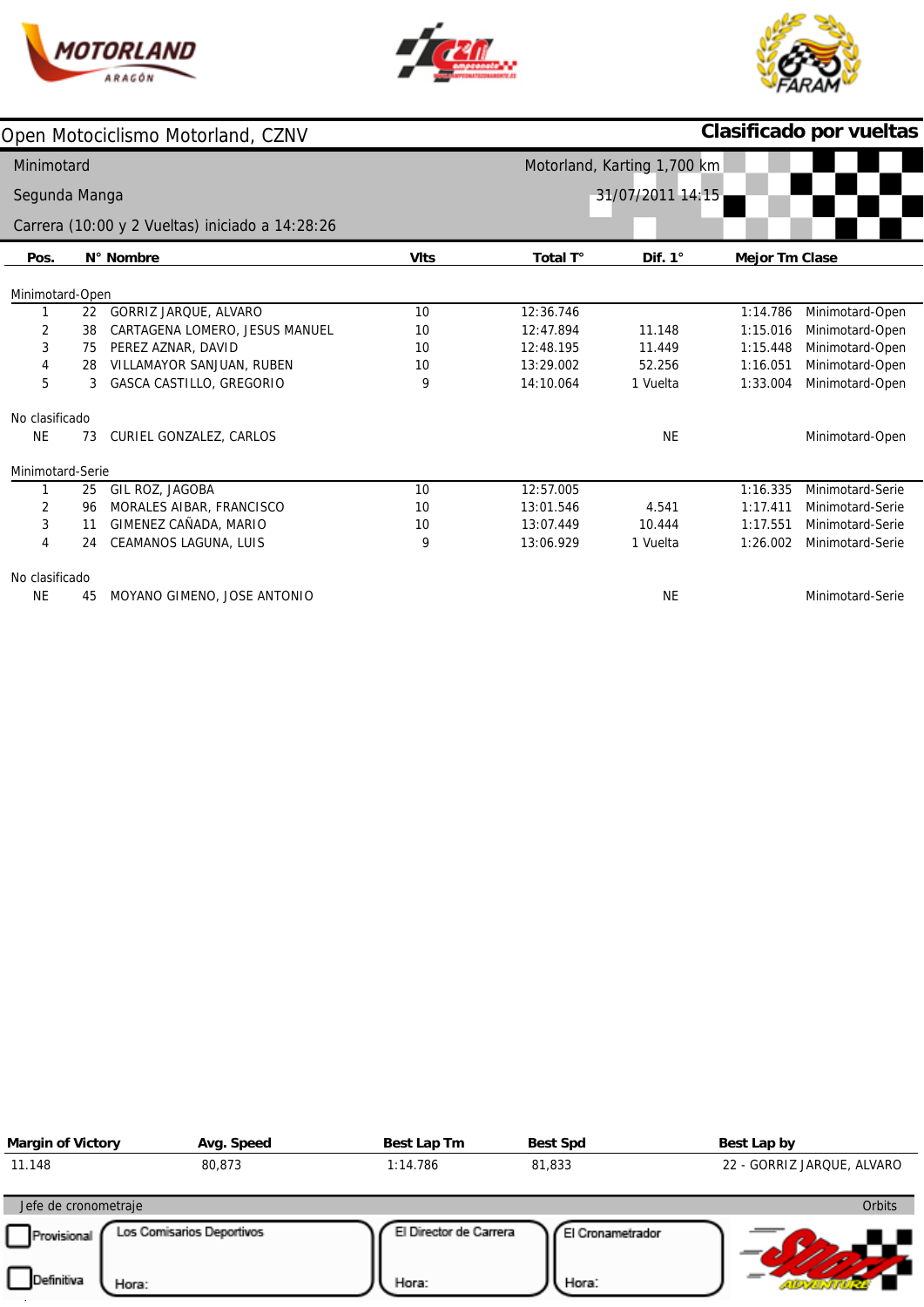





|                  |    | Open Motociclismo Motorland, CZNV               |             |           |                             |                       | Clasificado por vueltas |
|------------------|----|-------------------------------------------------|-------------|-----------|-----------------------------|-----------------------|-------------------------|
| Minimotard       |    |                                                 |             |           | Motorland, Karting 1,700 km |                       |                         |
| Segunda Manga    |    |                                                 |             |           | 31/07/2011 14:15            |                       |                         |
|                  |    | Carrera (10:00 y 2 Vueltas) iniciado a 14:28:26 |             |           |                             |                       |                         |
| Pos.             |    | N° Nombre                                       | <b>VIts</b> | Total T°  | Dif. $1^\circ$              | <b>Mejor Tm Clase</b> |                         |
| Minimotard-Open  |    |                                                 |             |           |                             |                       |                         |
|                  | 22 | GORRIZ JARQUE, ALVARO                           | 10          | 12:36.746 |                             | 1:14.786              | Minimotard-Open         |
| 2                | 38 | CARTAGENA LOMERO, JESUS MANUEL                  | 10          | 12:47.894 | 11.148                      | 1:15.016              | Minimotard-Open         |
| 3                | 75 | PEREZ AZNAR, DAVID                              | 10          | 12:48.195 | 11.449                      | 1:15.448              | Minimotard-Open         |
| 4                | 28 | VILLAMAYOR SANJUAN, RUBEN                       | 10          | 13:29.002 | 52.256                      | 1:16.051              | Minimotard-Open         |
| 5                | 3  | <b>GASCA CASTILLO, GREGORIO</b>                 | 9           | 14:10.064 | 1 Vuelta                    | 1:33.004              | Minimotard-Open         |
| No clasificado   |    |                                                 |             |           |                             |                       |                         |
| <b>NE</b>        | 73 | CURIEL GONZALEZ, CARLOS                         |             |           | <b>NE</b>                   |                       | Minimotard-Open         |
| Minimotard-Serie |    |                                                 |             |           |                             |                       |                         |
|                  | 25 | GIL ROZ, JAGOBA                                 | 10          | 12:57.005 |                             | 1:16.335              | Minimotard-Serie        |
| 2                | 96 | MORALES AIBAR, FRANCISCO                        | 10          | 13:01.546 | 4.541                       | 1:17.411              | Minimotard-Serie        |
| 3                | 11 | GIMENEZ CAÑADA, MARIO                           | 10          | 13:07.449 | 10.444                      | 1:17.551              | Minimotard-Serie        |
| 4                | 24 | CEAMANOS LAGUNA, LUIS                           | 9           | 13:06.929 | 1 Vuelta                    | 1:26.002              | Minimotard-Serie        |
| No clasificado   |    |                                                 |             |           |                             |                       |                         |
| <b>NE</b>        | 45 | MOYANO GIMENO, JOSE ANTONIO                     |             |           | NE                          |                       | Minimotard-Serie        |

| <b>Margin of Victory</b> | Avg. Speed                | Best Lap Tm            | <b>Best Spd</b>  | Best Lap by                |
|--------------------------|---------------------------|------------------------|------------------|----------------------------|
| 11.148                   | 80,873                    | 1:14.786               | 81,833           | 22 - GORRIZ JARQUE, ALVARO |
| Jefe de cronometraje     |                           |                        |                  | Orbits                     |
| Provisional              | Los Comisarios Deportivos | El Director de Carrera | El Cronametrador |                            |
| Definitiva<br>Hora:      |                           | Hora:                  | Hora:            |                            |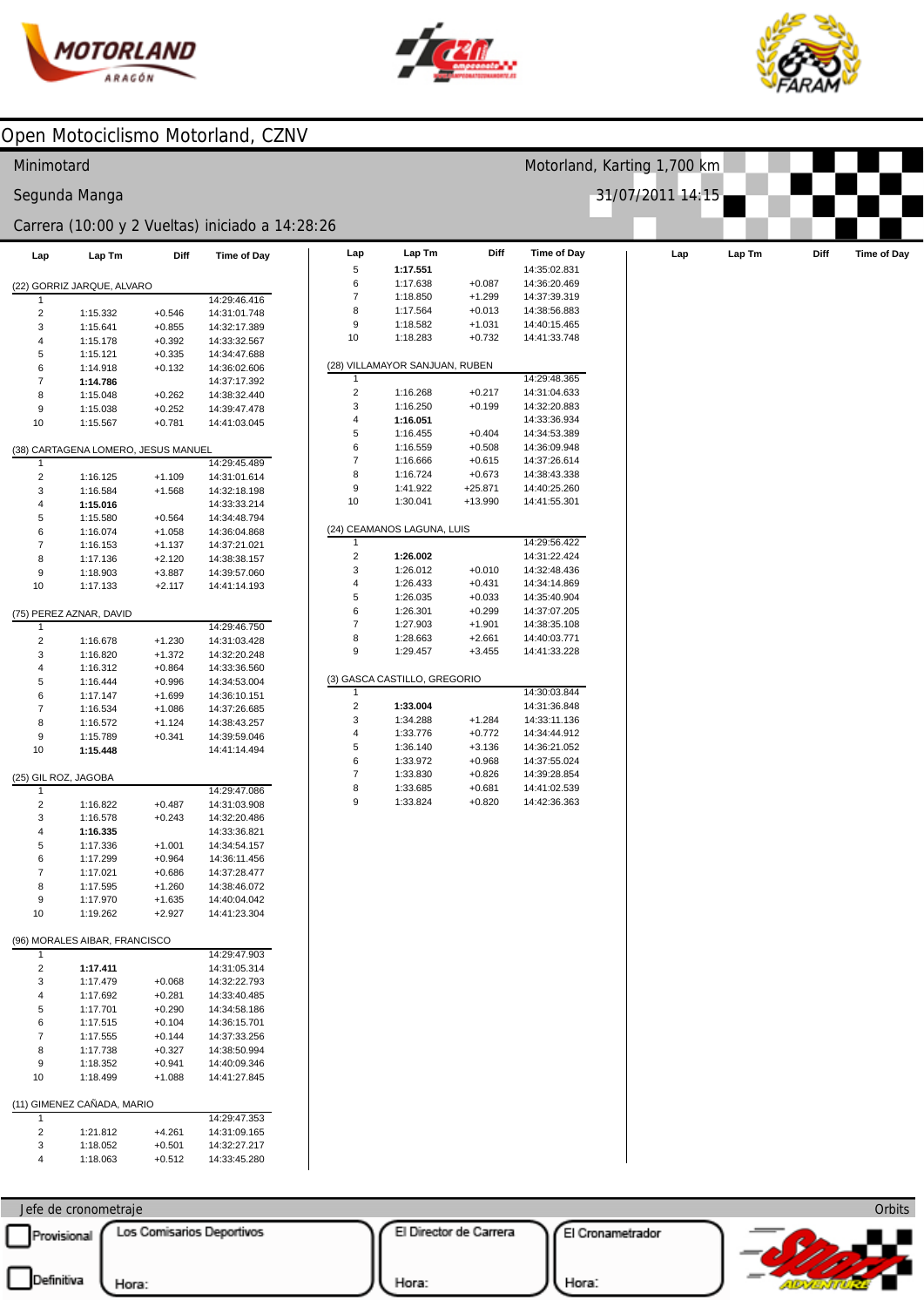



Motorland, Karting 1,700 km

31/07/2011 14:15



### Open Motociclismo Motorland, CZNV

#### Minimotard

#### Segunda Manga

## Carrera (10:00 y 2 Vueltas) iniciado a  $14:28$ :

| Lap            | Lap Tm                              | Diff     | <b>Time of Day</b> |
|----------------|-------------------------------------|----------|--------------------|
|                | (22) GORRIZ JARQUE, ALVARO          |          |                    |
| 1              |                                     |          | 14:29:46.416       |
| 2              | 1:15.332                            | $+0.546$ | 14:31:01.748       |
| 3              | 1:15.641                            | $+0.855$ | 14:32:17.389       |
| 4              | 1:15.178                            | $+0.392$ | 14:33:32.567       |
| 5              | 1:15.121                            | $+0.335$ | 14:34:47.688       |
| 6              | 1:14.918                            | $+0.132$ | 14:36:02.606       |
| 7              | 1:14.786                            |          | 14:37:17.392       |
| 8              | 1:15.048                            | $+0.262$ | 14:38:32.440       |
| 9              | 1:15.038                            | $+0.252$ | 14:39:47.478       |
| 10             | 1:15.567                            | $+0.781$ | 14:41:03.045       |
|                | (38) CARTAGENA LOMERO, JESUS MANUEL |          |                    |
| 1              |                                     |          | 14:29:45.489       |
| 2              | 1:16.125                            | $+1.109$ | 14:31:01.614       |
| 3              | 1:16.584                            | $+1.568$ | 14:32:18.198       |
| 4              | 1:15.016                            |          | 14:33:33.214       |
| 5              | 1:15.580                            | $+0.564$ | 14:34:48.794       |
| 6              | 1:16.074                            | $+1.058$ | 14:36:04.868       |
| 7              | 1:16.153                            | $+1.137$ | 14:37:21.021       |
| 8              | 1:17.136                            | $+2.120$ | 14:38:38.157       |
| 9              | 1:18.903                            | $+3.887$ | 14:39:57.060       |
| 10             | 1:17.133                            | $+2.117$ | 14:41:14.193       |
|                |                                     |          |                    |
| 1              | (75) PEREZ AZNAR, DAVID             |          | 14:29:46.750       |
| 2              | 1:16.678                            | $+1.230$ | 14:31:03.428       |
| 3              | 1:16.820                            | $+1.372$ | 14:32:20.248       |
| 4              | 1:16.312                            | $+0.864$ | 14:33:36.560       |
| 5              | 1:16.444                            | $+0.996$ | 14:34:53.004       |
| 6              | 1:17.147                            | $+1.699$ | 14:36:10.151       |
| 7              | 1:16.534                            |          | 14:37:26.685       |
|                |                                     | $+1.086$ |                    |
| 8              | 1:16.572                            | $+1.124$ | 14:38:43.257       |
| 9              | 1:15.789                            | $+0.341$ | 14:39:59.046       |
| 10             | 1:15.448                            |          | 14:41:14.494       |
|                | (25) GIL ROZ, JAGOBA                |          |                    |
| 1              |                                     |          | 14:29:47.086       |
| $\overline{2}$ | 1:16.822                            | $+0.487$ | 14:31:03.908       |
| 3              | 1:16.578                            | $+0.243$ | 14:32:20.486       |
| 4              | 1:16.335                            |          | 14:33:36.821       |
| 5              | 1:17.336                            | $+1.001$ | 14:34:54.157       |
| 6              | 1:17.299                            | $+0.964$ | 14:36:11.456       |
| 7              | 1:17.021                            | $+0.686$ | 14:37:28.477       |
| 8              | 1:17.595                            | $+1.260$ | 14:38:46.072       |
| 9              | 1:17.970                            | $+1.635$ | 14:40:04.042       |
| 10             | 1:19.262                            | $+2.927$ | 14:41:23.304       |
|                | (96) MORALES AIBAR, FRANCISCO       |          |                    |
| 1              |                                     |          | 14:29:47.903       |
| 2              | 1:17.411                            |          | 14:31:05.314       |
| 3              | 1:17.479                            | $+0.068$ | 14:32:22.793       |
| 4              | 1:17.692                            | $+0.281$ | 14:33:40.485       |
| 5              | 1:17.701                            | $+0.290$ | 14:34:58.186       |
| 6              | 1:17.515                            | $+0.104$ | 14:36:15.701       |
| 7              | 1:17.555                            | $+0.144$ | 14:37:33.256       |
| 8              | 1:17.738                            | $+0.327$ | 14:38:50.994       |
| 9              | 1:18.352                            | $+0.941$ | 14:40:09.346       |
| 10             | 1:18.499                            | $+1.088$ | 14:41:27.845       |
|                | (11) GIMENEZ CAÑADA, MARIO          |          |                    |
| 1              |                                     |          | 14:29:47.353       |
|                |                                     |          |                    |
| 2              | 1:21.812                            | +4.261   | 14:31:09.165       |
| 3              | 1:18.052                            | $+0.501$ | 14:32:27.217       |
| 4              | 1:18.063                            | $+0.512$ | 14:33:45.280       |

|                         |                                |          | rrera (10:00 y 2 Vueltas) iniciado a 14:28:26 |                         |                                |             |              |     |        |      |  |
|-------------------------|--------------------------------|----------|-----------------------------------------------|-------------------------|--------------------------------|-------------|--------------|-----|--------|------|--|
| Lap                     | Lap Tm                         | Diff     | <b>Time of Day</b>                            | Lap                     | Lap Tm                         | <b>Diff</b> | Time of Day  | Lap | Lap Tm | Diff |  |
|                         |                                |          |                                               | 5                       | 1:17.551                       |             | 14:35:02.831 |     |        |      |  |
|                         | GORRIZ JARQUE, ALVARO          |          |                                               | 6                       | 1:17.638                       | $+0.087$    | 14:36:20.469 |     |        |      |  |
|                         |                                |          | 14:29:46.416                                  | 7                       | 1:18.850                       | $+1.299$    | 14:37:39.319 |     |        |      |  |
| $\overline{2}$          | 1:15.332                       | $+0.546$ | 14:31:01.748                                  | 8                       | 1:17.564                       | $+0.013$    | 14:38:56.883 |     |        |      |  |
| 3                       | 1:15.641                       | $+0.855$ | 14:32:17.389                                  | 9                       | 1:18.582                       | $+1.031$    | 14:40:15.465 |     |        |      |  |
| 4                       | 1:15.178                       | $+0.392$ | 14:33:32.567                                  | 10                      | 1:18.283                       | $+0.732$    | 14:41:33.748 |     |        |      |  |
| 5                       | 1:15.121                       | $+0.335$ | 14:34:47.688                                  |                         |                                |             |              |     |        |      |  |
| 6                       | 1:14.918                       | $+0.132$ | 14:36:02.606                                  |                         | (28) VILLAMAYOR SANJUAN, RUBEN |             |              |     |        |      |  |
| $\boldsymbol{7}$        | 1:14.786                       |          | 14:37:17.392                                  | 1                       |                                |             | 14:29:48.365 |     |        |      |  |
| 8                       | 1:15.048                       | $+0.262$ | 14:38:32.440                                  | $\overline{\mathbf{c}}$ | 1:16.268                       | $+0.217$    | 14:31:04.633 |     |        |      |  |
| 9                       | 1:15.038                       | $+0.252$ | 14:39:47.478                                  | 3                       | 1:16.250                       | $+0.199$    | 14:32:20.883 |     |        |      |  |
| 10                      | 1:15.567                       | $+0.781$ | 14:41:03.045                                  | 4                       | 1:16.051                       |             | 14:33:36.934 |     |        |      |  |
|                         |                                |          |                                               | 5                       | 1:16.455                       | $+0.404$    | 14:34:53.389 |     |        |      |  |
|                         | CARTAGENA LOMERO, JESUS MANUEL |          |                                               | 6                       | 1:16.559                       | $+0.508$    | 14:36:09.948 |     |        |      |  |
|                         |                                |          | 14:29:45.489                                  | 7                       | 1:16.666                       | $+0.615$    | 14:37:26.614 |     |        |      |  |
| $\overline{2}$          | 1:16.125                       | $+1.109$ | 14:31:01.614                                  | 8                       | 1:16.724                       | $+0.673$    | 14:38:43.338 |     |        |      |  |
| 3                       | 1:16.584                       | $+1.568$ | 14:32:18.198                                  | 9                       | 1:41.922                       | $+25.871$   | 14:40:25.260 |     |        |      |  |
| 4                       | 1:15.016                       |          | 14:33:33.214                                  | 10                      | 1:30.041                       | $+13.990$   | 14:41:55.301 |     |        |      |  |
| 5                       | 1:15.580                       | $+0.564$ | 14:34:48.794                                  |                         |                                |             |              |     |        |      |  |
| 6                       | 1:16.074                       | $+1.058$ | 14:36:04.868                                  |                         | (24) CEAMANOS LAGUNA, LUIS     |             |              |     |        |      |  |
| $\boldsymbol{7}$        | 1:16.153                       | $+1.137$ | 14:37:21.021                                  |                         |                                |             | 14:29:56.422 |     |        |      |  |
| 8                       | 1:17.136                       | $+2.120$ | 14:38:38.157                                  | $\overline{\mathbf{c}}$ | 1:26.002                       |             | 14:31:22.424 |     |        |      |  |
| 9                       | 1:18.903                       | $+3.887$ | 14:39:57.060                                  | 3                       | 1:26.012                       | $+0.010$    | 14:32:48.436 |     |        |      |  |
| 10                      | 1:17.133                       | $+2.117$ | 14:41:14.193                                  | 4                       | 1:26.433                       | $+0.431$    | 14:34:14.869 |     |        |      |  |
|                         |                                |          |                                               | 5                       | 1:26.035                       | $+0.033$    | 14:35:40.904 |     |        |      |  |
|                         | PEREZ AZNAR, DAVID             |          |                                               | 6                       | 1:26.301                       | $+0.299$    | 14:37:07.205 |     |        |      |  |
|                         |                                |          | 14:29:46.750                                  | 7                       | 1:27.903                       | $+1.901$    | 14:38:35.108 |     |        |      |  |
| $\overline{c}$          | 1:16.678                       | $+1.230$ | 14:31:03.428                                  | 8                       | 1:28.663                       | $+2.661$    | 14:40:03.771 |     |        |      |  |
| 3                       | 1:16.820                       | $+1.372$ | 14:32:20.248                                  | 9                       | 1:29.457                       | $+3.455$    | 14:41:33.228 |     |        |      |  |
| 4                       | 1:16.312                       | $+0.864$ | 14:33:36.560                                  |                         |                                |             |              |     |        |      |  |
| 5                       | 1:16.444                       | $+0.996$ | 14:34:53.004                                  |                         | (3) GASCA CASTILLO, GREGORIO   |             |              |     |        |      |  |
| 6                       | 1:17.147                       | $+1.699$ | 14:36:10.151                                  | 1                       |                                |             | 14:30:03.844 |     |        |      |  |
| 7                       | 1:16.534                       | $+1.086$ | 14:37:26.685                                  | $\sqrt{2}$              | 1:33.004                       |             | 14:31:36.848 |     |        |      |  |
| 8                       | 1:16.572                       | $+1.124$ | 14:38:43.257                                  | 3                       | 1:34.288                       | $+1.284$    | 14:33:11.136 |     |        |      |  |
| 9                       | 1:15.789                       | $+0.341$ | 14:39:59.046                                  | 4                       | 1:33.776                       | $+0.772$    | 14:34:44.912 |     |        |      |  |
| 10                      | 1:15.448                       |          | 14:41:14.494                                  | 5                       | 1:36.140                       | $+3.136$    | 14:36:21.052 |     |        |      |  |
|                         |                                |          |                                               | 6                       | 1:33.972                       | $+0.968$    | 14:37:55.024 |     |        |      |  |
|                         | GIL ROZ, JAGOBA                |          |                                               | 7                       | 1:33.830                       | $+0.826$    | 14:39:28.854 |     |        |      |  |
| $\overline{1}$          |                                |          | 14:29:47.086                                  | 8<br>9                  | 1:33.685                       | $+0.681$    | 14:41:02.539 |     |        |      |  |
| $\overline{\mathbf{c}}$ | 1:16.822                       | $+0.487$ | 14:31:03.908                                  |                         | 1:33.824                       | $+0.820$    | 14:42:36.363 |     |        |      |  |
| 3                       | 1:16.578                       | $+0.243$ | 14:32:20.486                                  |                         |                                |             |              |     |        |      |  |
| 4                       | 1:16.335                       |          | 14:33:36.821                                  |                         |                                |             |              |     |        |      |  |
| 5                       | 1:17.336                       | $+1.001$ | 14:34:54.157                                  |                         |                                |             |              |     |        |      |  |
| 6                       | 1:17.299                       | $+0.964$ | 14:36:11.456                                  |                         |                                |             |              |     |        |      |  |
| $\overline{7}$          | 1:17.021                       | $+0.686$ | 14:37:28.477                                  |                         |                                |             |              |     |        |      |  |
| 8                       | 1:17.595                       | $+1.260$ | 14:38:46.072                                  |                         |                                |             |              |     |        |      |  |
| 9                       | 1:17.970                       | $+1.635$ | 14:40:04.042                                  |                         |                                |             |              |     |        |      |  |
| 10                      | 1:19.262                       | $+2.927$ | 14:41:23.304                                  |                         |                                |             |              |     |        |      |  |
|                         | MORALES AIBAR, FRANCISCO       |          |                                               |                         |                                |             |              |     |        |      |  |
|                         |                                |          | 14:29:47.903                                  |                         |                                |             |              |     |        |      |  |
| $\overline{2}$          | 1:17.411                       |          | 14:31:05.314                                  |                         |                                |             |              |     |        |      |  |
| 3                       | 1:17.479                       | $+0.068$ | 14:32:22.793                                  |                         |                                |             |              |     |        |      |  |
| $\overline{4}$          | 1:17.692                       | $+0.281$ | 14:33:40.485                                  |                         |                                |             |              |     |        |      |  |
|                         |                                |          |                                               |                         |                                |             |              |     |        |      |  |

Jefe de cronometraje Provisional Los Comisarios Deportivos

 $\overline{\phantom{a}}$ 

El Director de Carrera

El Cronametrador



Hora:

Hora: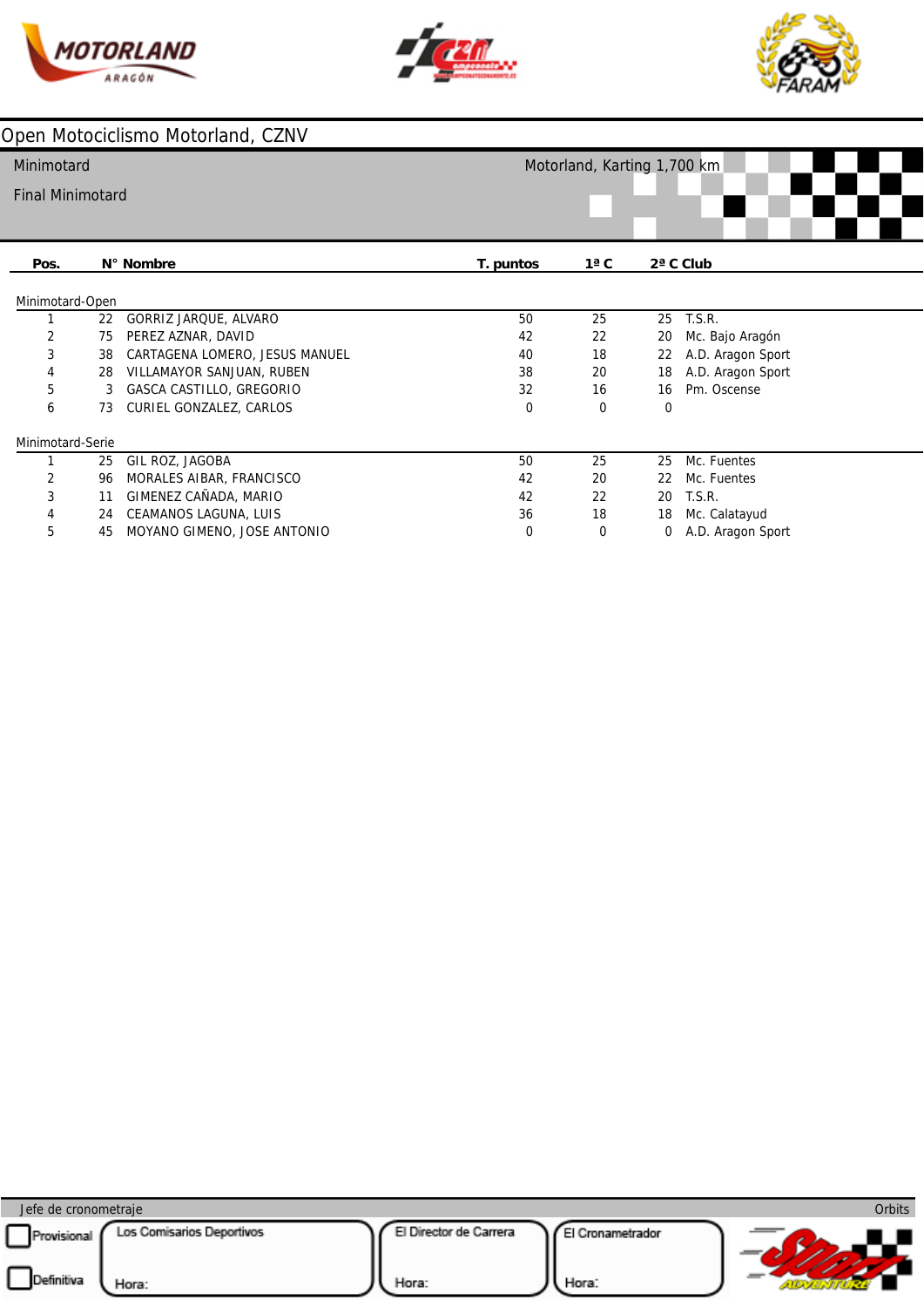





#### **Pos.** Minimotard-Open  $\overline{2}$  Minimotard-Serie **N° Nombre** GORRIZ JARQUE, ALVARO PEREZ AZNAR, DAVID CARTAGENA LOMERO, JESUS MANUEL VILLAMAYOR SANJUAN, RUBEN GASCA CASTILLO, GREGORIO CURIEL GONZALEZ, CARLOS GIL ROZ, JAGOBA MORALES AIBAR, FRANCISCO GIMENEZ CAÑADA, MARIO CEAMANOS LAGUNA, LUIS MOYANO GIMENO, JOSE ANTONIO **T. puntos 1ª C 2ª C Club** Mc. Bajo Aragón A.D. Aragon Sport A.D. Aragon Sport Pm. Oscense Mc. Fuentes T.S.R. Mc. Calatayud A.D. Aragon Sport T.S.R. Mc. Fuentes Minimotard Final Minimotard Motorland, Karting 1,700 km

| Jefe de cronometraje |                           |                        |                 | <b>Orbits</b> |
|----------------------|---------------------------|------------------------|-----------------|---------------|
| Provisional          | Los Comisarios Deportivos | El Director de Carrera | l Cronametrador |               |
| Definitiva           | Hora:                     | Hora:                  | Hora:           |               |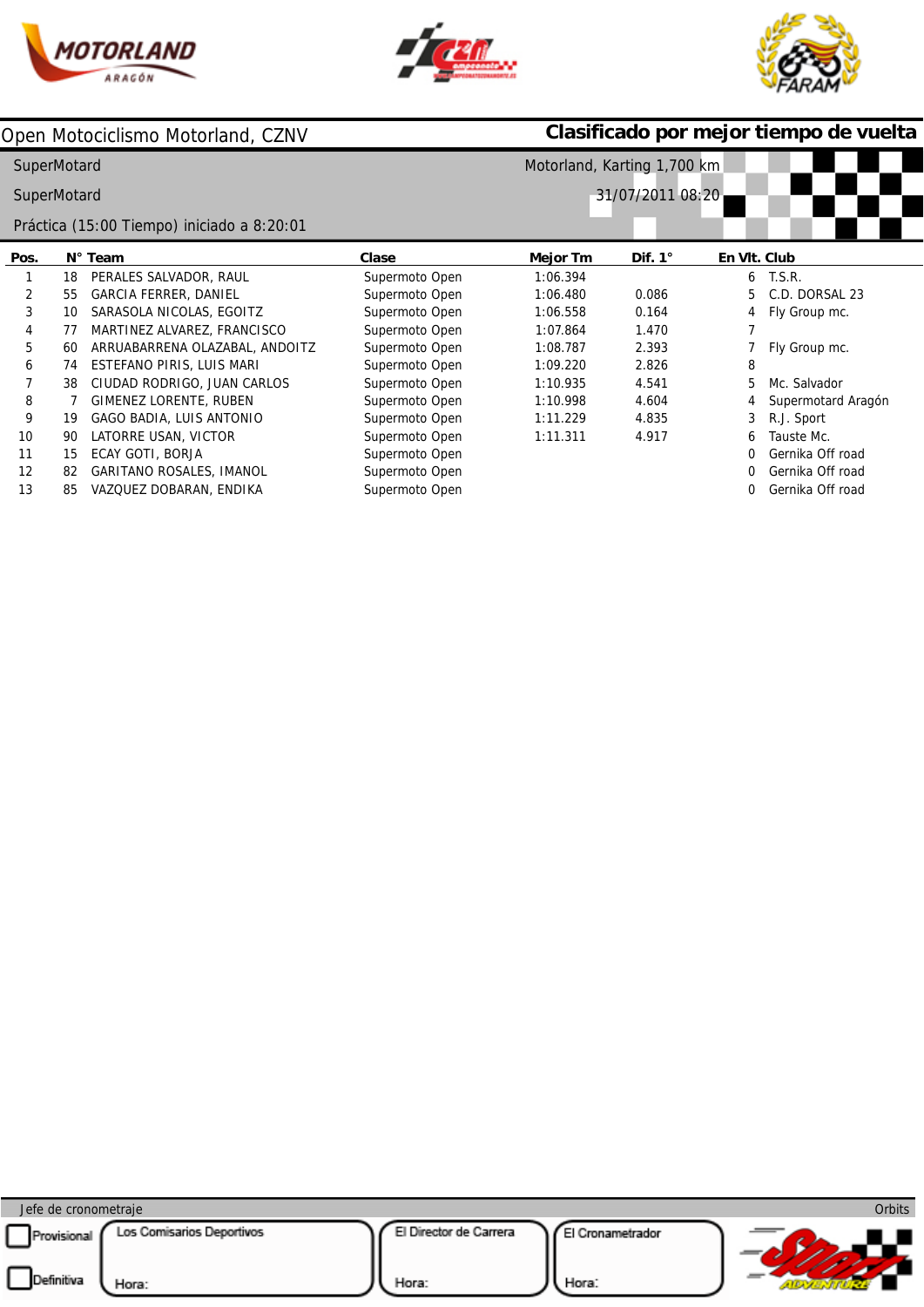





|    |                                 | Clase                                                                                                                             | Mejor Tm | Dif. $1^\circ$ | En VIt. Club |                                                                                           |
|----|---------------------------------|-----------------------------------------------------------------------------------------------------------------------------------|----------|----------------|--------------|-------------------------------------------------------------------------------------------|
| 18 | PERALES SALVADOR, RAUL          | Supermoto Open                                                                                                                    | 1:06.394 |                | 6            | <b>T.S.R.</b>                                                                             |
| 55 | <b>GARCIA FERRER, DANIEL</b>    | Supermoto Open                                                                                                                    | 1:06.480 | 0.086          | 5            | C.D. DORSAL 23                                                                            |
| 10 | SARASOLA NICOLAS, EGOITZ        | Supermoto Open                                                                                                                    | 1:06.558 | 0.164          | 4            | Fly Group mc.                                                                             |
| 77 | MARTINEZ ALVAREZ, FRANCISCO     | Supermoto Open                                                                                                                    | 1:07.864 | 1.470          |              |                                                                                           |
| 60 | ARRUABARRENA OLAZABAL, ANDOITZ  | Supermoto Open                                                                                                                    | 1:08.787 | 2.393          |              | Fly Group mc.                                                                             |
| 74 | ESTEFANO PIRIS, LUIS MARI       | Supermoto Open                                                                                                                    | 1:09.220 | 2.826          | 8            |                                                                                           |
| 38 | CIUDAD RODRIGO, JUAN CARLOS     | Supermoto Open                                                                                                                    | 1:10.935 | 4.541          | 5            | Mc. Salvador                                                                              |
|    | GIMENEZ LORENTE, RUBEN          | Supermoto Open                                                                                                                    | 1:10.998 | 4.604          |              | Supermotard Aragón                                                                        |
| 19 | GAGO BADIA, LUIS ANTONIO        | Supermoto Open                                                                                                                    | 1:11.229 | 4.835          | 3            | R.J. Sport                                                                                |
| 90 | LATORRE USAN, VICTOR            | Supermoto Open                                                                                                                    | 1:11.311 | 4.917          | 6            | Tauste Mc.                                                                                |
| 15 | ECAY GOTI, BORJA                | Supermoto Open                                                                                                                    |          |                |              | Gernika Off road                                                                          |
| 82 | <b>GARITANO ROSALES, IMANOL</b> | Supermoto Open                                                                                                                    |          |                | 0            | Gernika Off road                                                                          |
| 85 | VAZQUEZ DOBARAN, ENDIKA         | Supermoto Open                                                                                                                    |          |                |              | Gernika Off road                                                                          |
|    |                                 | Open Motociclismo Motorland, CZNV<br>SuperMotard<br>SuperMotard<br>Práctica (15:00 Tiempo) iniciado a 8:20:01<br>$N^{\circ}$ Team |          |                |              | Clasificado por mejor tiempo de vuelta<br>Motorland, Karting 1,700 km<br>31/07/2011 08:20 |

| Jefe de cronometraje      |                                    |                                 |                          | Orbits |
|---------------------------|------------------------------------|---------------------------------|--------------------------|--------|
| Provisional<br>Definitiva | Los Comisarios Deportivos<br>Hora: | El Director de Carrera<br>Hora: | I Cronametrador<br>Hora: |        |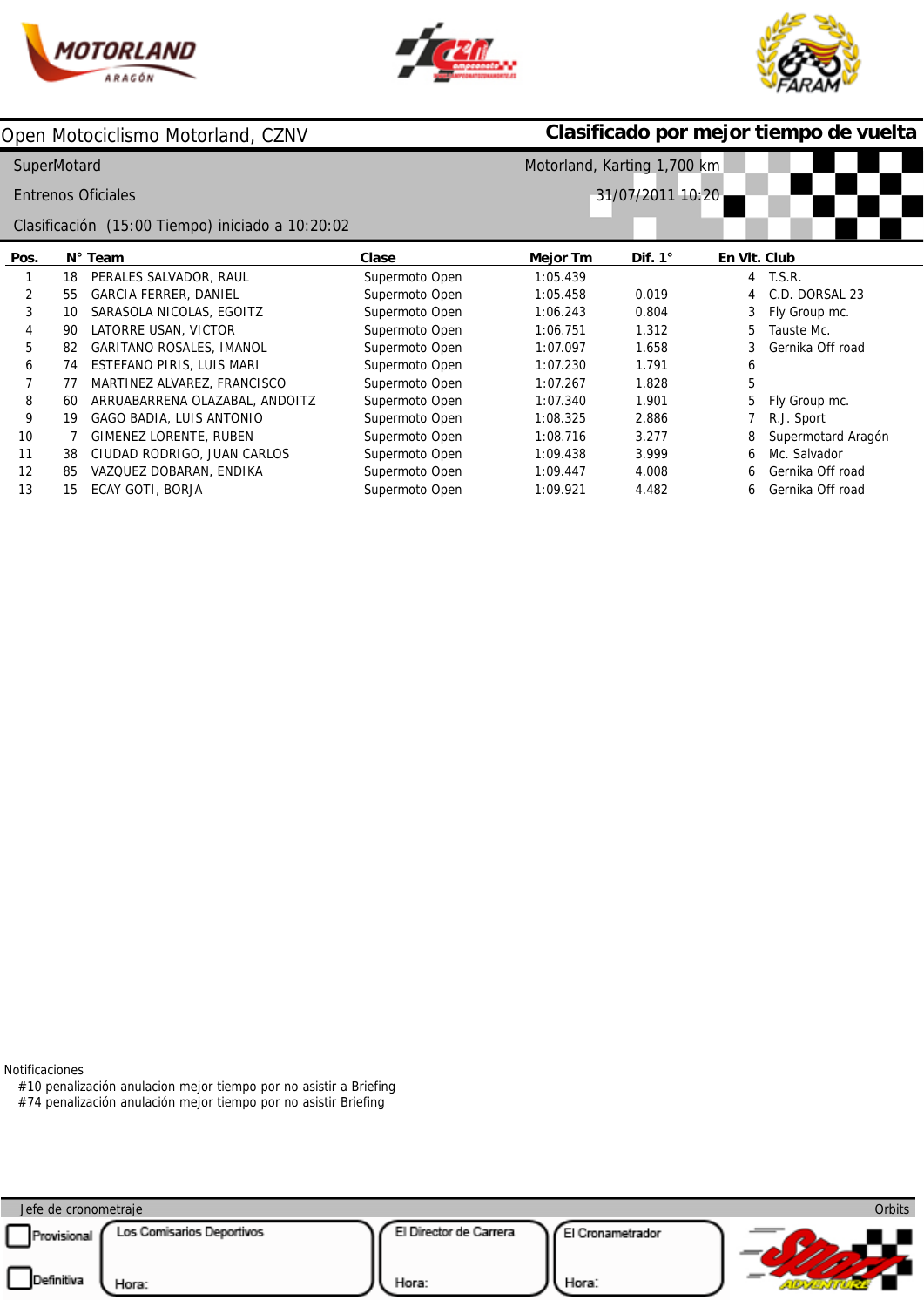





| Open Motociclismo Motorland, CZNV |                                |                                                              |                                                  | Clasificado por mejor tiempo de vuelta |              |                    |  |  |  |
|-----------------------------------|--------------------------------|--------------------------------------------------------------|--------------------------------------------------|----------------------------------------|--------------|--------------------|--|--|--|
|                                   |                                |                                                              | Motorland, Karting 1,700 km                      |                                        |              |                    |  |  |  |
|                                   |                                |                                                              |                                                  |                                        |              |                    |  |  |  |
|                                   |                                |                                                              |                                                  |                                        |              |                    |  |  |  |
|                                   |                                | Clase                                                        | Mejor Tm                                         | Dif. $1^\circ$                         | En VIt. Club |                    |  |  |  |
| 18                                | PERALES SALVADOR, RAUL         | Supermoto Open                                               | 1:05.439                                         |                                        | 4            | T.S.R.             |  |  |  |
| 55                                | <b>GARCIA FERRER, DANIEL</b>   | Supermoto Open                                               | 1:05.458                                         | 0.019                                  | 4            | C.D. DORSAL 23     |  |  |  |
| 10                                | SARASOLA NICOLAS, EGOITZ       | Supermoto Open                                               | 1:06.243                                         | 0.804                                  | 3            | Fly Group mc.      |  |  |  |
| 90                                | LATORRE USAN, VICTOR           | Supermoto Open                                               | 1:06.751                                         | 1.312                                  | 5            | Tauste Mc.         |  |  |  |
| 82                                | GARITANO ROSALES, IMANOL       | Supermoto Open                                               | 1:07.097                                         | 1.658                                  | 3            | Gernika Off road   |  |  |  |
| 74                                | ESTEFANO PIRIS, LUIS MARI      | Supermoto Open                                               | 1:07.230                                         | 1.791                                  | 6            |                    |  |  |  |
| 77                                | MARTINEZ ALVAREZ, FRANCISCO    | Supermoto Open                                               | 1:07.267                                         | 1.828                                  | 5            |                    |  |  |  |
| 60                                | ARRUABARRENA OLAZABAL, ANDOITZ | Supermoto Open                                               | 1:07.340                                         | 1.901                                  | 5            | Fly Group mc.      |  |  |  |
| 19                                | GAGO BADIA, LUIS ANTONIO       | Supermoto Open                                               | 1:08.325                                         | 2.886                                  |              | R.J. Sport         |  |  |  |
|                                   | GIMENEZ LORENTE, RUBEN         | Supermoto Open                                               | 1:08.716                                         | 3.277                                  | 8            | Supermotard Aragón |  |  |  |
| 38                                | CIUDAD RODRIGO, JUAN CARLOS    | Supermoto Open                                               | 1:09.438                                         | 3.999                                  | 6            | Mc. Salvador       |  |  |  |
| 85                                | VAZQUEZ DOBARAN, ENDIKA        | Supermoto Open                                               | 1:09.447                                         | 4.008                                  | 6            | Gernika Off road   |  |  |  |
| 15                                | ECAY GOTI, BORJA               | Supermoto Open                                               | 1:09.921                                         | 4.482                                  | 6.           | Gernika Off road   |  |  |  |
|                                   |                                | SuperMotard<br><b>Entrenos Oficiales</b><br>$N^{\circ}$ Team | Clasificación (15:00 Tiempo) iniciado a 10:20:02 |                                        |              | 31/07/2011 10:20   |  |  |  |

Notificaciones

#10 penalización anulacion mejor tiempo por no asistir a Briefing

#74 penalización anulación mejor tiempo por no asistir Briefing

| Jefe de cronometraje |                           |                        |                  | Orbits |
|----------------------|---------------------------|------------------------|------------------|--------|
| Provisional          | Los Comisarios Deportivos | El Director de Carrera | El Cronametrador |        |
| Definitiva           | Hora:                     | Hora:                  | Hora:            |        |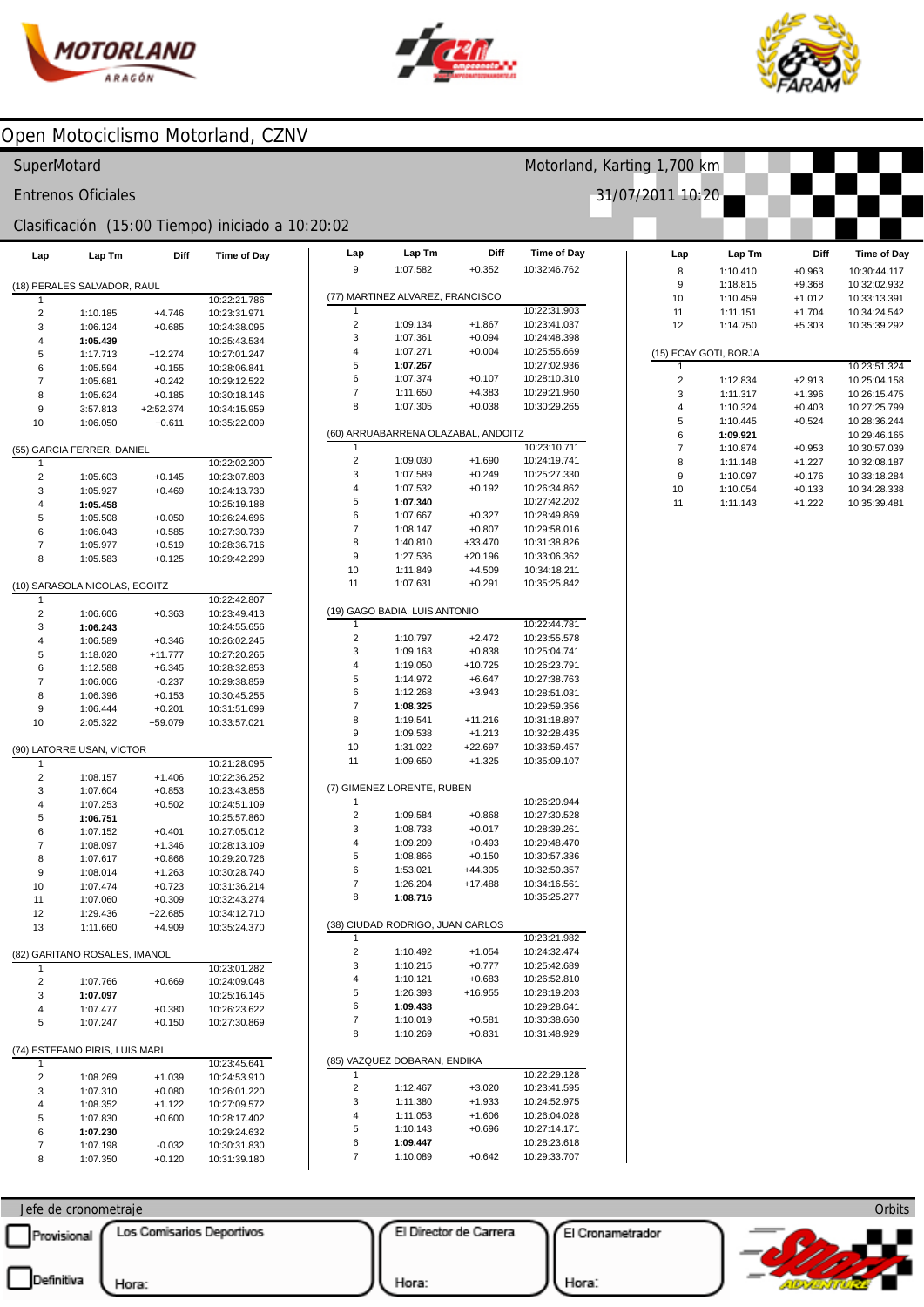



Motorland, Karting 1,700 km

31/07/2011 10:20



### Open Motociclismo Motorland, CZNV

#### SuperMotard

**Entrenos Oficiales** 

#### Clasificación (15:00 Tiempo) iniciado a 10:20:02

| Lap    | Lap Tm                         | Diff        | <b>Time of Day</b>           | Lap        |
|--------|--------------------------------|-------------|------------------------------|------------|
|        |                                |             |                              | 9          |
| 1      | (18) PERALES SALVADOR, RAUL    |             | 10:22:21.786                 | (77) MART  |
| 2      | 1:10.185                       | $+4.746$    | 10:23:31.971                 | 1          |
| 3      | 1:06.124                       | $+0.685$    | 10:24:38.095                 | 2          |
| 4      | 1:05.439                       |             | 10:25:43.534                 | 3          |
| 5      | 1:17.713                       | $+12.274$   | 10:27:01.247                 | 4          |
| 6      | 1:05.594                       | $+0.155$    | 10:28:06.841                 | 5          |
| 7      | 1:05.681                       | $+0.242$    | 10:29:12.522                 | 6          |
| 8      | 1:05.624                       | $+0.185$    | 10:30:18.146                 | 7          |
| 9      | 3:57.813                       | $+2:52.374$ | 10:34:15.959                 | 8          |
| 10     | 1:06.050                       | $+0.611$    | 10:35:22.009                 | (60) ARRU  |
|        | (55) GARCIA FERRER, DANIEL     |             |                              | 1          |
| 1      |                                |             | 10:22:02.200                 | 2          |
| 2      | 1:05.603                       | $+0.145$    | 10:23:07.803                 | 3          |
| 3      | 1:05.927                       | $+0.469$    | 10:24:13.730                 | 4          |
| 4      | 1:05.458                       |             | 10:25:19.188                 | 5          |
| 5      | 1:05.508                       | $+0.050$    | 10:26:24.696                 | 6<br>7     |
| 6      | 1:06.043                       | $+0.585$    | 10:27:30.739                 | 8          |
| 7      | 1:05.977                       | $+0.519$    | 10:28:36.716                 | 9          |
| 8      | 1:05.583                       | $+0.125$    | 10:29:42.299                 | 10         |
|        | (10) SARASOLA NICOLAS, EGOITZ  |             |                              | 11         |
| 1      |                                |             | 10:22:42.807                 |            |
| 2      | 1:06.606                       | $+0.363$    | 10:23:49.413                 | (19) GAGC  |
| 3      | 1:06.243                       |             | 10:24:55.656                 | 1          |
| 4      | 1:06.589                       | $+0.346$    | 10:26:02.245                 | 2          |
| 5      | 1:18.020                       | $+11.777$   | 10:27:20.265                 | 3          |
| 6      | 1:12.588                       | $+6.345$    | 10:28:32.853                 | 4          |
| 7      | 1:06.006                       | $-0.237$    | 10:29:38.859                 | 5          |
| 8      | 1:06.396                       | $+0.153$    | 10:30:45.255                 | 6<br>7     |
| 9      | 1:06.444                       | $+0.201$    | 10:31:51.699                 | 8          |
| 10     | 2:05.322                       | +59.079     | 10:33:57.021                 | 9          |
|        | (90) LATORRE USAN, VICTOR      |             |                              | 10         |
| 1      |                                |             | 10:21:28.095                 | 11         |
| 2      | 1:08.157                       | $+1.406$    | 10:22:36.252                 | (7) GIMEN  |
| 3      | 1:07.604                       | $+0.853$    | 10:23:43.856                 | 1          |
| 4      | 1:07.253                       | $+0.502$    | 10:24:51.109                 | 2          |
| 5<br>6 | 1:06.751                       | $+0.401$    | 10:25:57.860<br>10:27:05.012 | 3          |
| 7      | 1:07.152<br>1:08.097           | $+1.346$    | 10:28:13.109                 | 4          |
| 8      | 1:07.617                       | $+0.866$    | 10:29:20.726                 | 5          |
| 9      | 1:08.014                       | $+1.263$    | 10:30:28.740                 | 6          |
| 10     | 1:07.474                       | $+0.723$    | 10:31:36.214                 | 7          |
| 11     | 1:07.060                       | $+0.309$    | 10:32:43.274                 | 8          |
| 12     | 1:29.436                       | $+22.685$   | 10:34:12.710                 |            |
| 13     | 1:11.660                       | $+4.909$    | 10:35:24.370                 | (38) CIUDA |
|        |                                |             |                              | 2          |
| 1      | (82) GARITANO ROSALES, IMANOL  |             | 10:23:01.282                 | 3          |
| 2      | 1:07.766                       | $+0.669$    | 10:24:09.048                 | 4          |
| 3      | 1:07.097                       |             | 10:25:16.145                 | 5          |
| 4      | 1:07.477                       | $+0.380$    | 10:26:23.622                 | 6          |
| 5      | 1:07.247                       | $+0.150$    | 10:27:30.869                 | 7          |
|        | (74) ESTEFANO PIRIS, LUIS MARI |             |                              | 8          |
| 1      |                                |             | 10:23:45.641                 | (85) VAZQ  |
| 2      | 1:08.269                       | $+1.039$    | 10:24:53.910                 | 1          |
| 3      | 1:07.310                       | $+0.080$    | 10:26:01.220                 | 2          |
| 4      | 1:08.352                       | +1.122      | 10:27:09.572                 | 3          |
| 5      | 1:07.830                       | $+0.600$    | 10:28:17.402                 | 4          |
| 6      | 1:07.230                       |             | 10:29:24.632                 | 5          |
| 7      | 1:07.198                       | $-0.032$    | 10:30:31.830                 | 6          |
| 8      | 1:07.350                       | $+0.120$    | 10:31:39.180                 | 7          |

| 9              | Lap Tm                              | Diff                 | Time of Day                  |
|----------------|-------------------------------------|----------------------|------------------------------|
|                | 1:07.582                            | $+0.352$             | 10:32:46.762                 |
|                |                                     |                      |                              |
|                | (77) MARTINEZ ALVAREZ, FRANCISCO    |                      |                              |
| 1              |                                     |                      | 10:22:31.903                 |
| $\overline{2}$ | 1:09.134                            | +1.867               | 10:23:41.037                 |
| 3              | 1:07.361                            | $+0.094$             | 10:24:48.398                 |
| 4              | 1:07.271                            | $+0.004$             | 10:25:55.669                 |
| 5              | 1:07.267                            |                      | 10:27:02.936                 |
| 6<br>7         | 1:07.374<br>1:11.650                | $+0.107$<br>$+4.383$ | 10:28:10.310<br>10:29:21.960 |
| 8              | 1:07.305                            | $+0.038$             | 10:30:29.265                 |
|                |                                     |                      |                              |
|                | (60) ARRUABARRENA OLAZABAL, ANDOITZ |                      |                              |
| 1              |                                     |                      | 10:23:10.711                 |
| 2<br>3         | 1:09.030<br>1:07.589                | $+1.690$<br>$+0.249$ | 10:24:19.741<br>10:25:27.330 |
| 4              | 1:07.532                            | $+0.192$             | 10:26:34.862                 |
| 5              | 1:07.340                            |                      | 10:27:42.202                 |
| 6              | 1:07.667                            | $+0.327$             | 10:28:49.869                 |
| 7              | 1:08.147                            | $+0.807$             | 10:29:58.016                 |
| 8              | 1:40.810                            | +33.470              | 10:31:38.826                 |
| 9              | 1:27.536                            | +20.196              | 10:33:06.362                 |
| 10             | 1:11.849                            | $+4.509$             | 10:34:18.211                 |
| 11             | 1:07.631                            | $+0.291$             | 10:35:25.842                 |
|                |                                     |                      |                              |
| 1              | (19) GAGO BADIA, LUIS ANTONIO       |                      | 10:22:44.781                 |
| 2              | 1:10.797                            | $+2.472$             | 10:23:55.578                 |
| 3              | 1:09.163                            | $+0.838$             | 10:25:04.741                 |
| 4              | 1:19.050                            | $+10.725$            | 10:26:23.791                 |
| 5              | 1:14.972                            | $+6.647$             | 10:27:38.763                 |
| 6              | 1:12.268                            | $+3.943$             | 10:28:51.031                 |
| 7              | 1:08.325                            |                      | 10:29:59.356                 |
| 8              | 1:19.541                            | $+11.216$            | 10:31:18.897                 |
| 9              | 1:09.538                            | $+1.213$             | 10:32:28.435                 |
| 10             | 1:31.022                            | $+22.697$            | 10:33:59.457                 |
| 11             | 1:09.650                            | $+1.325$             | 10:35:09.107                 |
|                | (7) GIMENEZ LORENTE, RUBEN          |                      |                              |
| 1              |                                     |                      | 10:26:20.944                 |
| 2              | 1:09.584                            | $+0.868$             | 10:27:30.528                 |
| 3              | 1:08.733                            | $+0.017$             | 10:28:39.261                 |
| 4              | 1:09.209                            | $+0.493$             | 10:29:48.470                 |
| 5              | 1:08.866                            | $+0.150$             | 10:30:57.336                 |
| 6              | 1:53.021                            | $+44.305$            | 10:32:50.357                 |
| 7              | 1:26.204                            | $+17.488$            | 10:34:16.561                 |
| 8              | 1:08.716                            |                      | 10:35:25.277                 |
|                | CIUDAD RODRIGO, JUAN CARLOS         |                      |                              |
| (38)           |                                     |                      | 10:23:21.982                 |
| 1              |                                     |                      |                              |
| 2              | 1:10.492                            | $+1.054$             | 10:24:32.474                 |
| 3              | 1:10.215                            | $+0.777$             | 10:25:42.689                 |
| 4              | 1:10.121                            | $+0.683$             | 10:26:52.810                 |
| 5              | 1:26.393                            | $+16.955$            | 10:28:19.203                 |
| 6              | 1:09.438                            |                      | 10:29:28.641                 |
| 7              | 1:10.019                            | $+0.581$             | 10:30:38.660                 |
| 8              | 1:10.269                            | $+0.831$             | 10:31:48.929                 |
|                | (85) VAZQUEZ DOBARAN, ENDIKA        |                      |                              |
| 1              |                                     |                      | 10:22:29.128                 |
| 2              | 1:12.467                            | +3.020               | 10:23:41.595                 |
| 3              | 1:11.380                            | +1.933               | 10:24:52.975                 |
| 4              | 1:11.053                            | $+1.606$             | 10:26:04.028                 |
| 5              | 1:10.143                            | $+0.696$             | 10:27:14.171                 |
| 6<br>7         | 1:09.447<br>1:10.089                | $+0.642$             | 10:28:23.618<br>10:29:33.707 |

| Lap            | Lap Tm                | Diff     | Time of Day  |
|----------------|-----------------------|----------|--------------|
| 8              | 1:10.410              | $+0.963$ | 10:30:44.117 |
| 9              | 1:18.815              | $+9.368$ | 10:32:02.932 |
| 10             | 1:10.459              | $+1.012$ | 10:33:13.391 |
| 11             | 1:11.151              | $+1.704$ | 10:34:24.542 |
| 12             | 1:14.750              | $+5.303$ | 10:35:39.292 |
|                |                       |          |              |
|                | (15) ECAY GOTI, BORJA |          |              |
| 1              |                       |          | 10:23:51.324 |
| $\overline{2}$ | 1:12.834              | $+2.913$ | 10:25:04.158 |
| 3              | 1:11.317              | $+1.396$ | 10:26:15.475 |
| 4              | 1:10.324              | $+0.403$ | 10:27:25.799 |
| 5              | 1:10.445              | $+0.524$ | 10:28:36.244 |
| 6              | 1:09.921              |          | 10:29:46.165 |
| $\overline{7}$ | 1:10.874              | $+0.953$ | 10:30:57.039 |
| 8              | 1:11.148              | $+1.227$ | 10:32:08.187 |
| 9              | 1:10.097              | $+0.176$ | 10:33:18.284 |
| 10             | 1:10.054              | $+0.133$ | 10:34:28.338 |
| 11             | 1:11.143              | $+1.222$ | 10:35:39.481 |

Jefe de cronometraje Los Comisarios Deportivos El Director de Carrera El Cronametrador Provisional Definitiva Hora: Hora: Hora: AIDVA

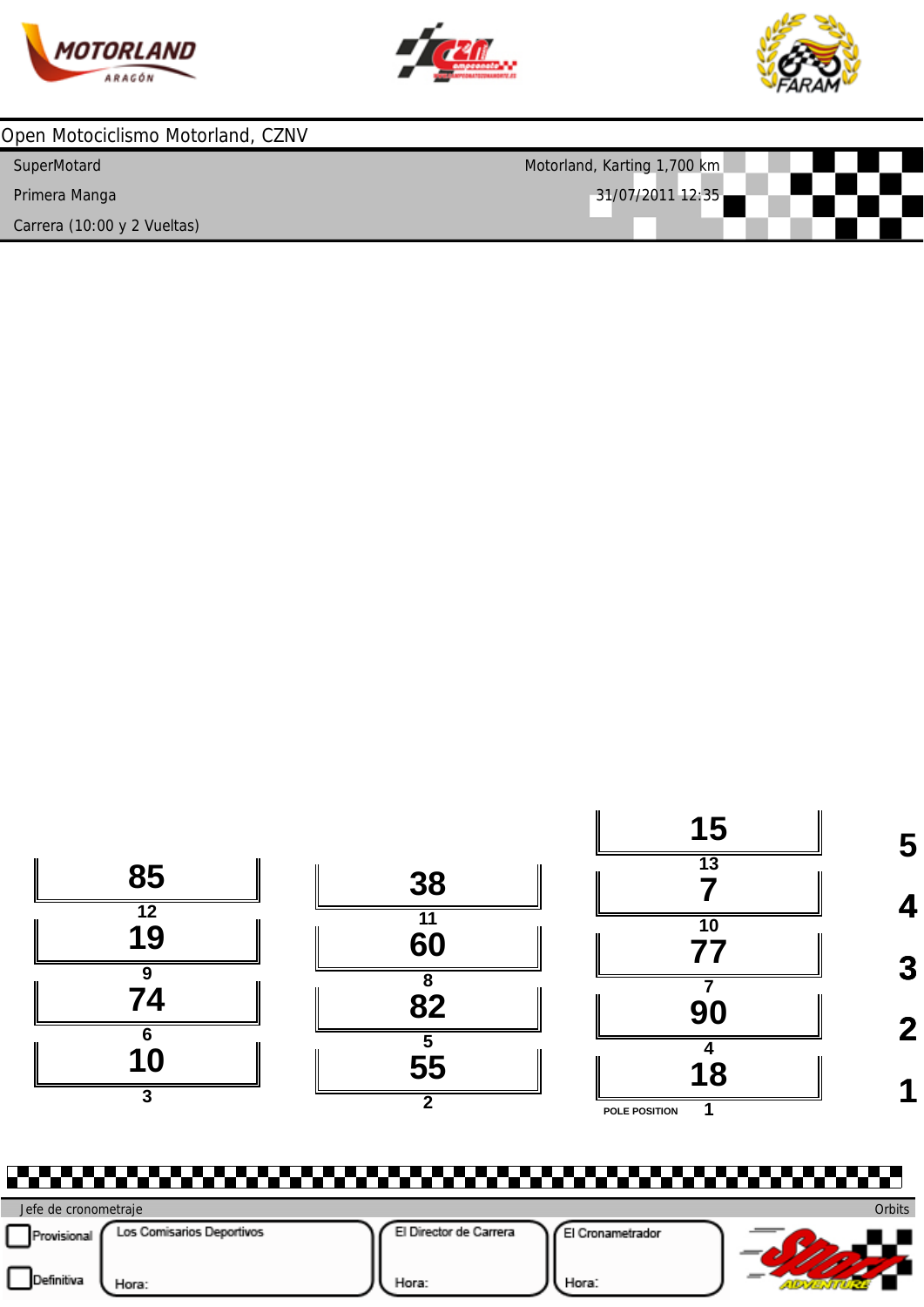





| Open Motociclismo Motorland, CZNV |                             |
|-----------------------------------|-----------------------------|
| SuperMotard                       | Motorland, Karting 1,700 km |
| Primera Manga                     | 31/07/2011 12:35            |
| Carrera (10:00 y 2 Vueltas)       |                             |



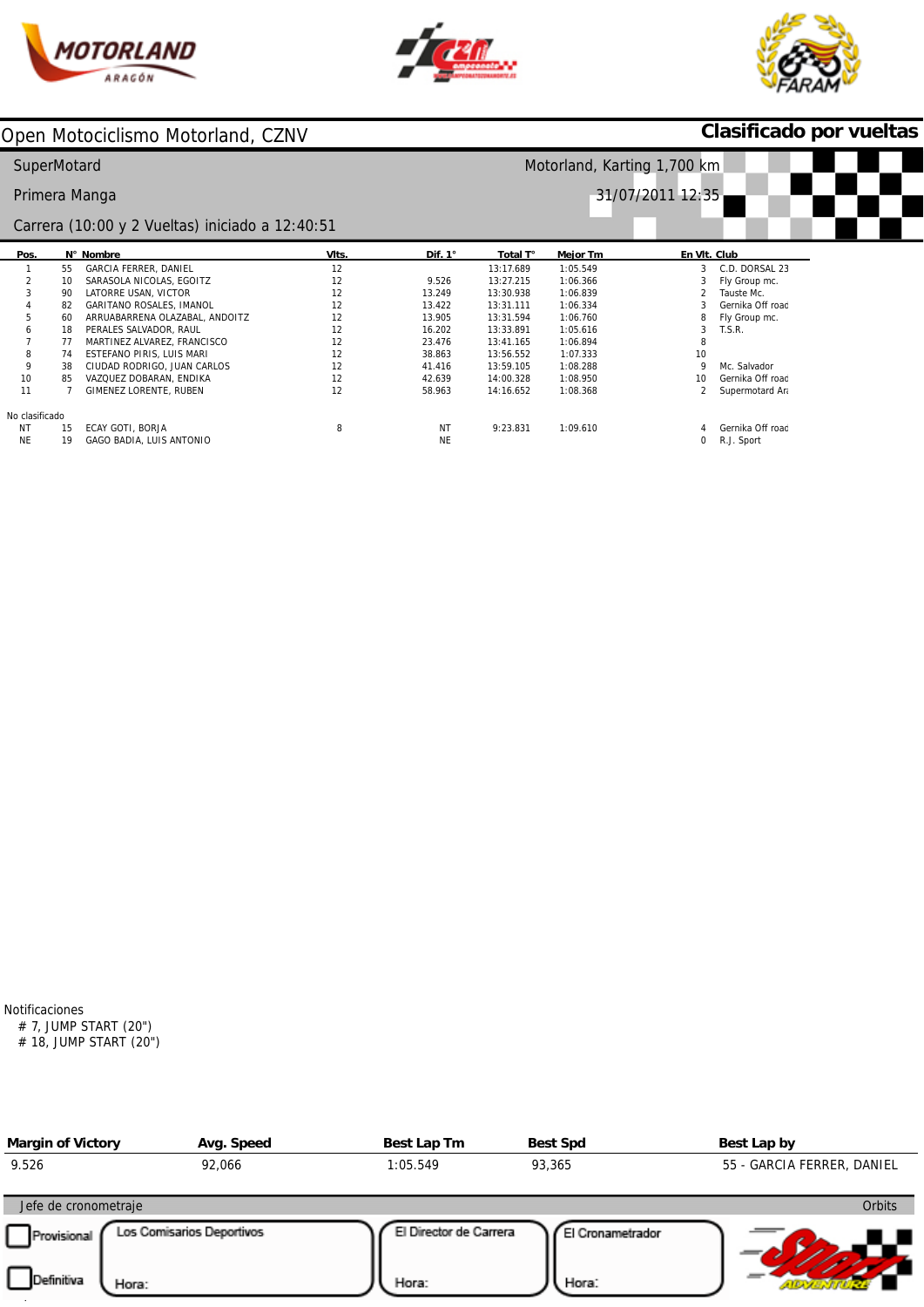





## **Clasificado por vueltas**

| SuperMotard    |    |                                                 |       | Motorland, Karting 1,700 km |           |                 |                        |
|----------------|----|-------------------------------------------------|-------|-----------------------------|-----------|-----------------|------------------------|
|                |    | Primera Manga                                   |       |                             |           |                 | 31/07/2011 12:35       |
|                |    | Carrera (10:00 y 2 Vueltas) iniciado a 12:40:51 |       |                             |           |                 |                        |
| Pos.           |    | N° Nombre                                       | VIts. | Dif. 1°                     | Total T°  | <b>Mejor Tm</b> | En VIt. Club           |
|                | 55 | GARCIA FERRER, DANIEL                           | 12    |                             | 13:17.689 | 1:05.549        | C.D. DORSAL 23<br>3    |
|                | 10 | SARASOLA NICOLAS, EGOITZ                        | 12    | 9.526                       | 13:27.215 | 1:06.366        | Fly Group mc.          |
| 3              | 90 | LATORRE USAN, VICTOR                            | 12    | 13.249                      | 13:30.938 | 1:06.839        | Tauste Mc.             |
|                | 82 | GARITANO ROSALES, IMANOL                        | 12    | 13.422                      | 13:31.111 | 1:06.334        | Gernika Off road       |
| 5              | 60 | ARRUABARRENA OLAZABAL, ANDOITZ                  | 12    | 13.905                      | 13:31.594 | 1:06.760        | Fly Group mc.<br>8     |
| 6              | 18 | PERALES SALVADOR, RAUL                          | 12    | 16.202                      | 13:33.891 | 1:05.616        | T.S.R.                 |
|                | 77 | MARTINEZ ALVAREZ, FRANCISCO                     | 12    | 23.476                      | 13:41.165 | 1:06.894        | 8                      |
| 8              | 74 | ESTEFANO PIRIS, LUIS MARI                       | 12    | 38.863                      | 13:56.552 | 1:07.333        | 10                     |
| 9              | 38 | CIUDAD RODRIGO, JUAN CARLOS                     | 12    | 41.416                      | 13:59.105 | 1:08.288        | Mc. Salvador<br>q      |
| 10             | 85 | VAZQUEZ DOBARAN, ENDIKA                         | 12    | 42.639                      | 14:00.328 | 1:08.950        | Gernika Off road<br>10 |
| 11             |    | GIMENEZ LORENTE, RUBEN                          | 12    | 58.963                      | 14:16.652 | 1:08.368        | Supermotard Ara        |
| No clasificado |    |                                                 |       |                             |           |                 |                        |
| <b>NT</b>      | 15 | ECAY GOTI, BORJA                                | 8     | <b>NT</b>                   | 9:23.831  | 1:09.610        | Gernika Off road       |
| <b>NE</b>      | 19 | GAGO BADIA, LUIS ANTONIO                        |       | <b>NE</b>                   |           |                 | R.J. Sport<br>0        |

Notificaciones

# 7, JUMP START (20") # 18, JUMP START (20")

| <b>Margin of Victory</b> | Avg. Speed                | Best Lap Tm            | <b>Best Spd</b>  | Best Lap by                |
|--------------------------|---------------------------|------------------------|------------------|----------------------------|
| 9.526                    | 92,066                    | 1:05.549               | 93,365           | 55 - GARCIA FERRER, DANIEL |
| Jefe de cronometraje     |                           |                        |                  | <b>Orbits</b>              |
| Provisional              | Los Comisarios Deportivos | El Director de Carrera | El Cronametrador |                            |
| Definitiva<br>Hora:      |                           | Hora:                  | Hora:            |                            |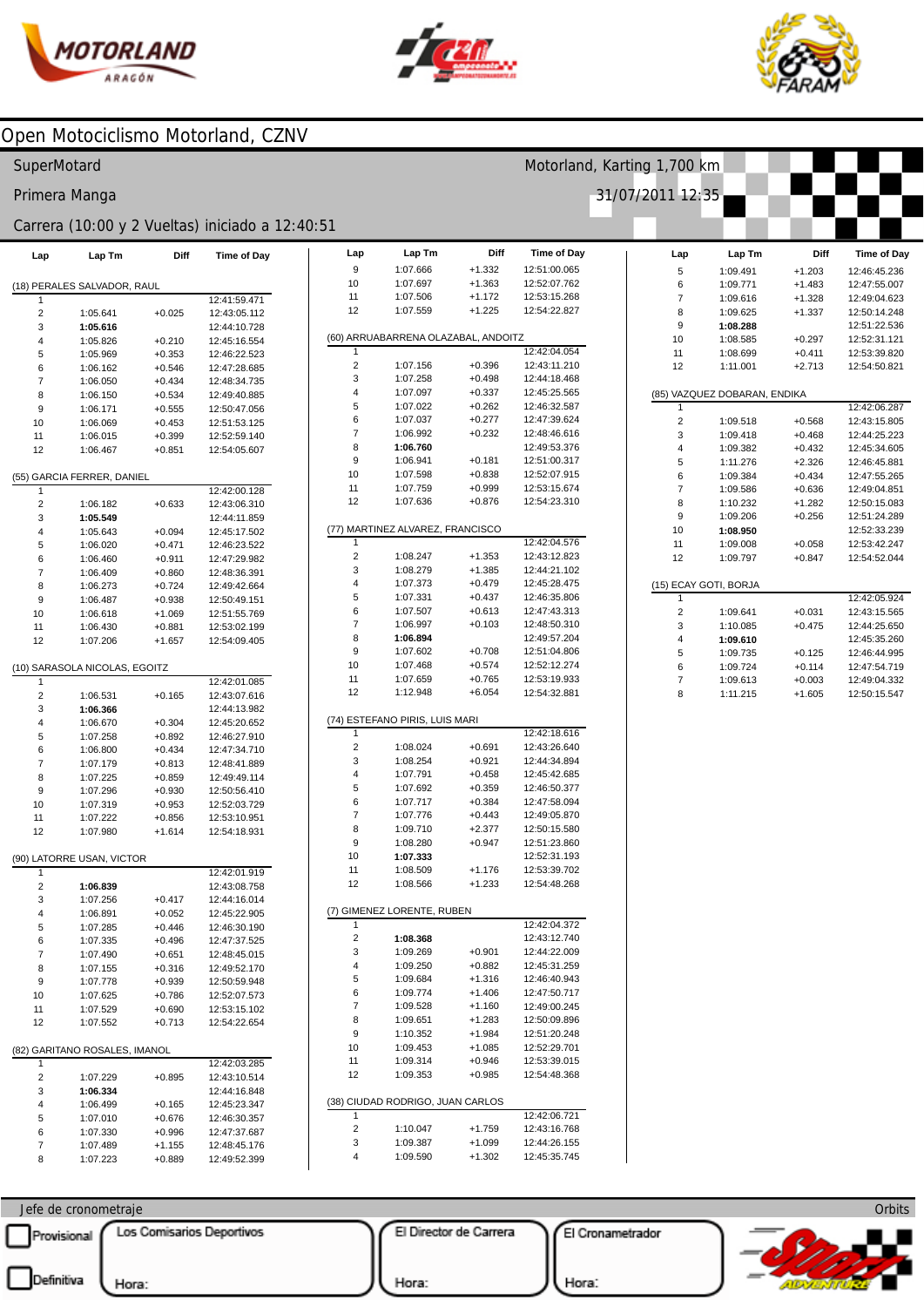



Lap

Lap Tm

Diff

Time of Day

Motorland, Karting 1,700 km



### Open Motociclismo Motorland, CZNV

#### SuperMotard

Primera Manga

#### Carrera (10:00 y 2 Vueltas) iniciado a 12:40:51

| Lap            | Lap Tm                        | Diff                 | Time of Day                  |
|----------------|-------------------------------|----------------------|------------------------------|
|                |                               |                      |                              |
|                | (18) PERALES SALVADOR, RAUL   |                      |                              |
| 1              |                               |                      | 12:41:59.471                 |
| 2              | 1:05.641                      | $+0.025$             | 12:43:05.112                 |
| 3<br>4         | 1:05.616                      |                      | 12:44:10.728                 |
| 5              | 1:05.826<br>1:05.969          | $+0.210$<br>$+0.353$ | 12:45:16.554<br>12:46:22.523 |
| 6              | 1:06.162                      | $+0.546$             | 12:47:28.685                 |
| $\overline{7}$ | 1:06.050                      | $+0.434$             | 12:48:34.735                 |
| 8              | 1:06.150                      | $+0.534$             | 12:49:40.885                 |
| 9              | 1:06.171                      | $+0.555$             | 12:50:47.056                 |
| 10             | 1:06.069                      | $+0.453$             | 12:51:53.125                 |
| 11             | 1:06.015                      | $+0.399$             | 12:52:59.140                 |
| 12             | 1:06.467                      | $+0.851$             | 12:54:05.607                 |
|                |                               |                      |                              |
|                | (55) GARCIA FERRER, DANIEL    |                      |                              |
| 1              |                               |                      | 12:42:00.128                 |
| 2              | 1:06.182                      | $+0.633$             | 12:43:06.310                 |
| 3<br>4         | 1:05.549<br>1:05.643          |                      | 12:44:11.859<br>12:45:17.502 |
| 5              | 1:06.020                      | $+0.094$<br>$+0.471$ | 12:46:23.522                 |
| 6              | 1:06.460                      | $+0.911$             | 12:47:29.982                 |
| 7              | 1:06.409                      | $+0.860$             | 12:48:36.391                 |
| 8              | 1:06.273                      | $+0.724$             | 12:49:42.664                 |
| 9              | 1:06.487                      | $+0.938$             | 12:50:49.151                 |
| 10             | 1:06.618                      | $+1.069$             | 12:51:55.769                 |
| 11             | 1:06.430                      | $+0.881$             | 12:53:02.199                 |
| 12             | 1:07.206                      | $+1.657$             | 12:54:09.405                 |
|                |                               |                      |                              |
|                | (10) SARASOLA NICOLAS, EGOITZ |                      |                              |
| 1              |                               |                      | 12:42:01.085                 |
| 2              | 1:06.531                      | $+0.165$             | 12:43:07.616                 |
| 3<br>4         | 1:06.366                      |                      | 12:44:13.982<br>12:45:20.652 |
| 5              | 1:06.670<br>1:07.258          | $+0.304$<br>$+0.892$ | 12:46:27.910                 |
| 6              | 1:06.800                      | $+0.434$             | 12:47:34.710                 |
| $\overline{7}$ | 1:07.179                      | $+0.813$             | 12:48:41.889                 |
| 8              | 1:07.225                      | $+0.859$             | 12:49:49.114                 |
| 9              | 1:07.296                      | +0.930               | 12:50:56.410                 |
| 10             | 1:07.319                      | $+0.953$             | 12:52:03.729                 |
| 11             | 1:07.222                      | $+0.856$             | 12:53:10.951                 |
| 12             | 1:07.980                      | $+1.614$             | 12:54:18.931                 |
|                |                               |                      |                              |
|                | (90) LATORRE USAN, VICTOR     |                      |                              |
| 1              |                               |                      | 12:42:01.919                 |
| 2              | 1:06.839                      |                      | 12:43:08.758                 |
| 3<br>4         | 1:07.256<br>1:06.891          | $+0.417$<br>$+0.052$ | 12:44:16.014<br>12:45:22.905 |
| 5              | 1:07.285                      | $+0.446$             | 12:46:30.190                 |
| 6              | 1:07.335                      | $+0.496$             | 12:47:37.525                 |
| 7              | 1:07.490                      | $+0.651$             | 12:48:45.015                 |
| 8              | 1:07.155                      | $+0.316$             | 12:49:52.170                 |
| 9              | 1:07.778                      | $+0.939$             | 12:50:59.948                 |
| 10             | 1:07.625                      | $+0.786$             | 12:52:07.573                 |
| 11             | 1:07.529                      | $+0.690$             | 12:53:15.102                 |
| 12             | 1:07.552                      | $+0.713$             | 12:54:22.654                 |
|                | (82) GARITANO ROSALES, IMANOL |                      |                              |
| 1              |                               |                      | 12:42:03.285                 |
| 2              | 1:07.229                      | $+0.895$             | 12:43:10.514                 |
| 3              | 1:06.334                      |                      | 12:44:16.848                 |
| 4              | 1:06.499                      | $+0.165$             | 12:45:23.347                 |
| 5              | 1:07.010                      | $+0.676$             | 12:46:30.357                 |
| 6              | 1:07.330                      | $+0.996$             | 12:47:37.687                 |
| 7              | 1:07.489                      | $+1.155$             | 12:48:45.176                 |
| 8              | 1:07.223                      | $+0.889$             | 12:49:52.399                 |

| 9      | 1:07.666                            | $+1.332$ | 12:51:00.065                 |
|--------|-------------------------------------|----------|------------------------------|
| 10     | 1:07.697                            | $+1.363$ | 12:52:07.762                 |
| 11     | 1:07.506                            | $+1.172$ | 12:53:15.268                 |
| 12     | 1:07.559                            | $+1.225$ | 12:54:22.827                 |
|        |                                     |          |                              |
|        | (60) ARRUABARRENA OLAZABAL, ANDOITZ |          |                              |
| 1      |                                     |          | 12:42:04.054                 |
| 2      | 1:07.156                            | $+0.396$ | 12:43:11.210                 |
| 3      | 1:07.258                            | $+0.498$ | 12:44:18.468                 |
| 4      | 1:07.097                            | $+0.337$ | 12:45:25.565                 |
| 5      | 1:07.022                            | $+0.262$ | 12:46:32.587                 |
| 6      | 1:07.037                            | $+0.277$ | 12:47:39.624                 |
| 7      | 1:06.992                            | $+0.232$ | 12:48:46.616                 |
| 8      | 1:06.760                            |          | 12:49:53.376                 |
| 9      | 1:06.941                            | $+0.181$ | 12:51:00.317                 |
| 10     | 1:07.598                            | $+0.838$ | 12:52:07.915                 |
| 11     | 1:07.759                            | $+0.999$ | 12:53:15.674                 |
| 12     | 1:07.636                            | $+0.876$ | 12:54:23.310                 |
| (11)   | MARTINEZ ALVAREZ, FRANCISCO         |          |                              |
| 1      |                                     |          | 12:42:04.576                 |
| 2      | 1:08.247                            | $+1.353$ | 12:43:12.823                 |
| 3      | 1:08.279                            | $+1.385$ | 12:44:21.102                 |
| 4      | 1:07.373                            | $+0.479$ | 12:45:28.475                 |
| 5      | 1:07.331                            | $+0.437$ | 12:46:35.806                 |
| 6      | 1:07.507                            | $+0.613$ | 12:47:43.313                 |
| 7      | 1:06.997                            | $+0.103$ | 12:48:50.310                 |
| 8      | 1:06.894                            |          | 12:49:57.204                 |
| 9      | 1:07.602                            | $+0.708$ | 12:51:04.806                 |
| 10     | 1:07.468                            | $+0.574$ | 12:52:12.274                 |
| 11     | 1:07.659                            | $+0.765$ | 12:53:19.933                 |
| 12     | 1:12.948                            | $+6.054$ | 12:54:32.881                 |
|        | (74) ESTEFANO PIRIS, LUIS MARI      |          |                              |
| 1      |                                     |          | 12:42:18.616                 |
| 2      | 1:08.024                            | $+0.691$ | 12:43:26.640                 |
| 3      | 1:08.254                            | $+0.921$ | 12:44:34.894                 |
| 4      | 1:07.791                            | $+0.458$ | 12:45:42.685                 |
| 5      | 1:07.692                            | $+0.359$ | 12:46:50.377                 |
| 6      | 1:07.717                            | $+0.384$ | 12:47:58.094                 |
| 7      | 1:07.776                            | $+0.443$ | 12:49:05.870                 |
| 8      | 1:09.710                            | $+2.377$ | 12:50:15.580                 |
| 9      | 1:08.280                            | $+0.947$ | 12:51:23.860                 |
| 10     | 1:07.333                            |          | 12:52:31.193                 |
| 11     | 1:08.509                            | $+1.176$ | 12:53:39.702                 |
| 12     | 1:08.566                            | $+1.233$ | 12:54:48.268                 |
|        |                                     |          |                              |
| 1      | GIMENEZ LORENTE, RUBEN              |          | 12:42:04.372                 |
| 2      |                                     |          | 12:43:12.740                 |
|        | 1:08.368                            |          |                              |
| 3<br>4 | 1:09.269                            | $+0.901$ | 12:44:22.009                 |
|        | 1:09.250                            | $+0.882$ | 12:45:31.259                 |
| 5      | 1:09.684                            | $+1.316$ | 12:46:40.943<br>12:47:50.717 |
| 6<br>7 | 1:09.774                            | $+1.406$ |                              |
|        | 1:09.528                            | $+1.160$ | 12:49:00.245                 |
| 8      | 1:09.651                            | $+1.283$ | 12:50:09.896                 |
| 9      | 1:10.352                            | $+1.984$ | 12:51:20.248                 |
| 10     | 1:09.453                            | $+1.085$ | 12:52:29.701                 |
| 11     | 1:09.314                            | $+0.946$ | 12:53:39.015                 |
| 12     | 1:09.353                            | $+0.985$ | 12:54:48.368                 |
|        | (38) CIUDAD RODRIGO, JUAN CARLOS    |          |                              |
| 1      |                                     |          | 12:42:06.721                 |
| 2      | 1:10.047                            | $+1.759$ | 12:43:16.768                 |
| 3      | 1:09.387                            | $+1.099$ | 12:44:26.155                 |
| 4      | 1:09.590                            | $+1.302$ | 12:45:35.745                 |
|        |                                     |          |                              |

| 31/07/2011 12:35      |                              |          |                    |
|-----------------------|------------------------------|----------|--------------------|
|                       |                              |          |                    |
|                       |                              |          |                    |
| Lap                   | Lap Tm                       | Diff     | <b>Time of Day</b> |
| 5                     | 1:09.491                     | $+1.203$ | 12:46:45.236       |
| 6                     | 1:09.771                     | $+1.483$ | 12:47:55.007       |
| $\overline{7}$        | 1:09.616                     | $+1.328$ | 12:49:04.623       |
| 8                     | 1:09.625                     | $+1.337$ | 12:50:14.248       |
| 9                     | 1:08.288                     |          | 12:51:22.536       |
| 10                    | 1:08.585                     | $+0.297$ | 12:52:31.121       |
| 11                    | 1:08.699                     | $+0.411$ | 12:53:39.820       |
| 12                    | 1:11.001                     | $+2.713$ | 12:54:50.821       |
|                       |                              |          |                    |
|                       | (85) VAZQUEZ DOBARAN, ENDIKA |          |                    |
| 1                     |                              |          | 12:42:06.287       |
| $\overline{2}$        | 1:09.518                     | $+0.568$ | 12:43:15.805       |
| 3                     | 1:09.418                     | $+0.468$ | 12:44:25.223       |
| 4                     | 1:09.382                     | $+0.432$ | 12:45:34.605       |
| 5                     | 1:11.276                     | $+2.326$ | 12:46:45.881       |
| 6                     | 1:09.384                     | $+0.434$ | 12:47:55.265       |
| 7                     | 1:09.586                     | $+0.636$ | 12:49:04.851       |
| 8                     | 1:10.232                     | $+1.282$ | 12:50:15.083       |
| 9                     | 1:09.206                     | $+0.256$ | 12:51:24.289       |
| 10                    | 1:08.950                     |          | 12:52:33.239       |
| 11                    | 1:09.008                     | $+0.058$ | 12:53:42.247       |
| 12                    | 1:09.797                     | $+0.847$ | 12:54:52.044       |
| (15) ECAY GOTI, BORJA |                              |          |                    |
| 1                     |                              |          | 12:42:05.924       |
| $\overline{2}$        | 1:09.641                     | $+0.031$ | 12:43:15.565       |
| 3                     | 1:10.085                     | $+0.475$ | 12:44:25.650       |
| 4                     | 1:09.610                     |          | 12:45:35.260       |
| 5                     | 1:09.735                     | $+0.125$ | 12:46:44.995       |
| 6                     | 1:09.724                     | $+0.114$ | 12:47:54.719       |
| $\overline{7}$        | 1:09.613                     | $+0.003$ | 12:49:04.332       |
| 8                     | 1.11215                      | $+1605$  | 12:50:15.547       |

#### Orbits Jefe de cronometraje Los Comisarios Deportivos El Director de Carrera El Cronametrador Provisional Definitiva Hora: Hora: Hora: **ATOLICA AT**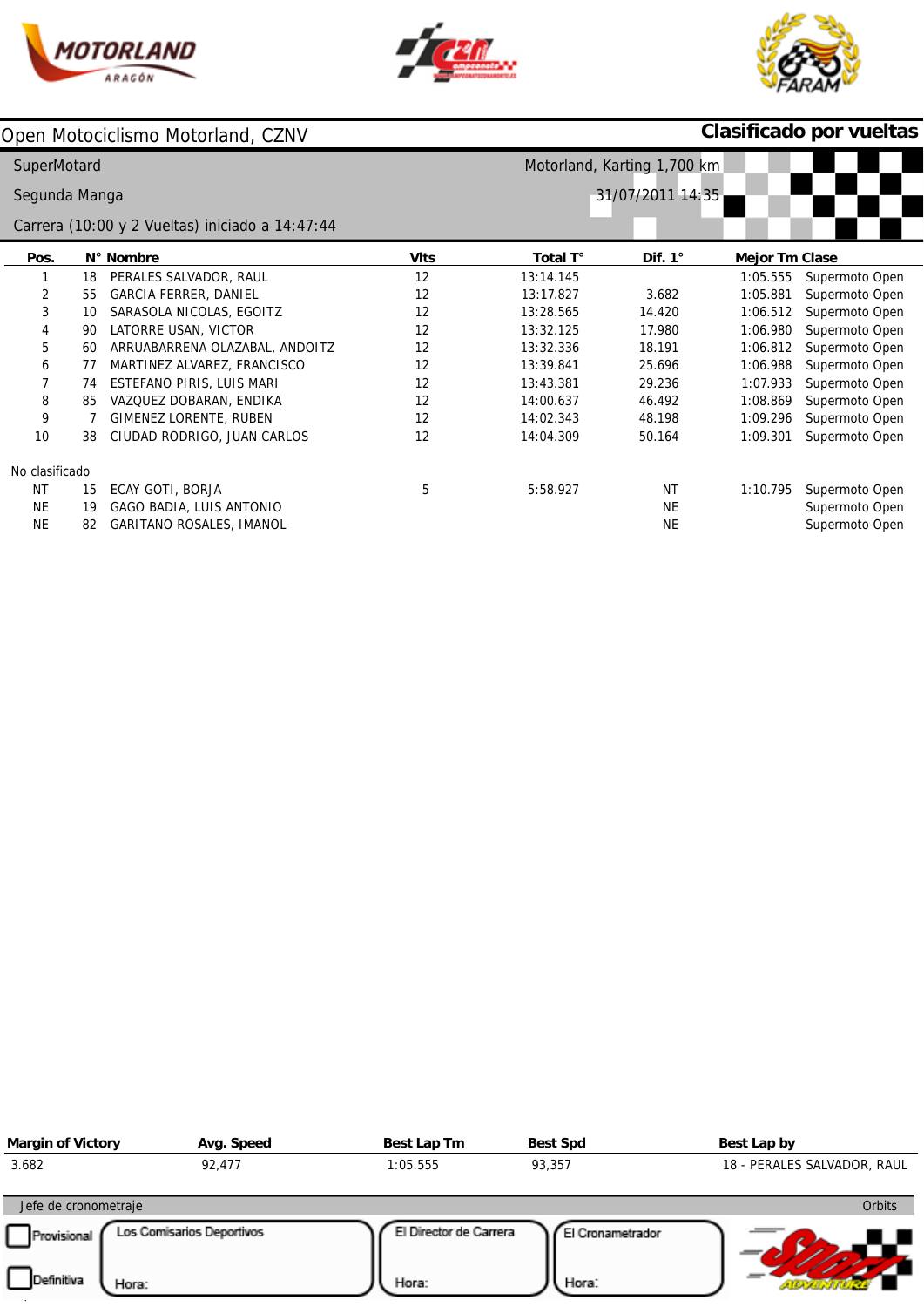





# **Clasificado por vueltas**

| <b>SuperMotard</b> |    | Motorland, Karting 1,700 km                     |             |           |                  |                       |                |
|--------------------|----|-------------------------------------------------|-------------|-----------|------------------|-----------------------|----------------|
| Segunda Manga      |    |                                                 |             |           | 31/07/2011 14:35 |                       |                |
|                    |    | Carrera (10:00 y 2 Vueltas) iniciado a 14:47:44 |             |           |                  |                       |                |
| Pos.               |    | N° Nombre                                       | <b>VIts</b> | Total T°  | Dif. $1^\circ$   | <b>Mejor Tm Clase</b> |                |
|                    | 18 | PERALES SALVADOR, RAUL                          | 12          | 13:14.145 |                  | 1:05.555              | Supermoto Open |
| 2                  | 55 | <b>GARCIA FERRER, DANIEL</b>                    | 12          | 13:17.827 | 3.682            | 1:05.881              | Supermoto Open |
| 3                  | 10 | SARASOLA NICOLAS, EGOITZ                        | 12          | 13:28.565 | 14.420           | 1:06.512              | Supermoto Open |
| 4                  | 90 | LATORRE USAN, VICTOR                            | 12          | 13:32.125 | 17.980           | 1:06.980              | Supermoto Open |
| 5                  | 60 | ARRUABARRENA OLAZABAL, ANDOITZ                  | 12          | 13:32.336 | 18.191           | 1:06.812              | Supermoto Open |
| 6                  | 77 | MARTINEZ ALVAREZ, FRANCISCO                     | 12          | 13:39.841 | 25.696           | 1:06.988              | Supermoto Open |
| 7                  | 74 | ESTEFANO PIRIS, LUIS MARI                       | 12          | 13:43.381 | 29.236           | 1:07.933              | Supermoto Open |
| 8                  | 85 | VAZQUEZ DOBARAN, ENDIKA                         | 12          | 14:00.637 | 46.492           | 1:08.869              | Supermoto Open |
| 9                  |    | GIMENEZ LORENTE, RUBEN                          | 12          | 14:02.343 | 48.198           | 1:09.296              | Supermoto Open |
| 10                 | 38 | CIUDAD RODRIGO, JUAN CARLOS                     | 12          | 14:04.309 | 50.164           | 1:09.301              | Supermoto Open |
| No clasificado     |    |                                                 |             |           |                  |                       |                |
| NT                 | 15 | ECAY GOTI, BORJA                                | 5           | 5:58.927  | <b>NT</b>        | 1:10.795              | Supermoto Open |
| <b>NE</b>          | 19 | <b>GAGO BADIA, LUIS ANTONIO</b>                 |             |           | <b>NE</b>        |                       | Supermoto Open |
| <b>NE</b>          | 82 | <b>GARITANO ROSALES, IMANOL</b>                 |             |           | <b>NE</b>        |                       | Supermoto Open |

| <b>Margin of Victory</b>   | Avg. Speed                | Best Lap Tm            | <b>Best Spd</b>  | Best Lap by                 |
|----------------------------|---------------------------|------------------------|------------------|-----------------------------|
| 3.682                      | 92,477                    | 1:05.555               | 93,357           | 18 - PERALES SALVADOR, RAUL |
| Jefe de cronometraje       |                           |                        |                  | <b>Orbits</b>               |
| Provisional                | Los Comisarios Deportivos | El Director de Carrera | El Cronametrador |                             |
| <b>Definitiva</b><br>Hora: |                           | Hora:                  | Hora:            |                             |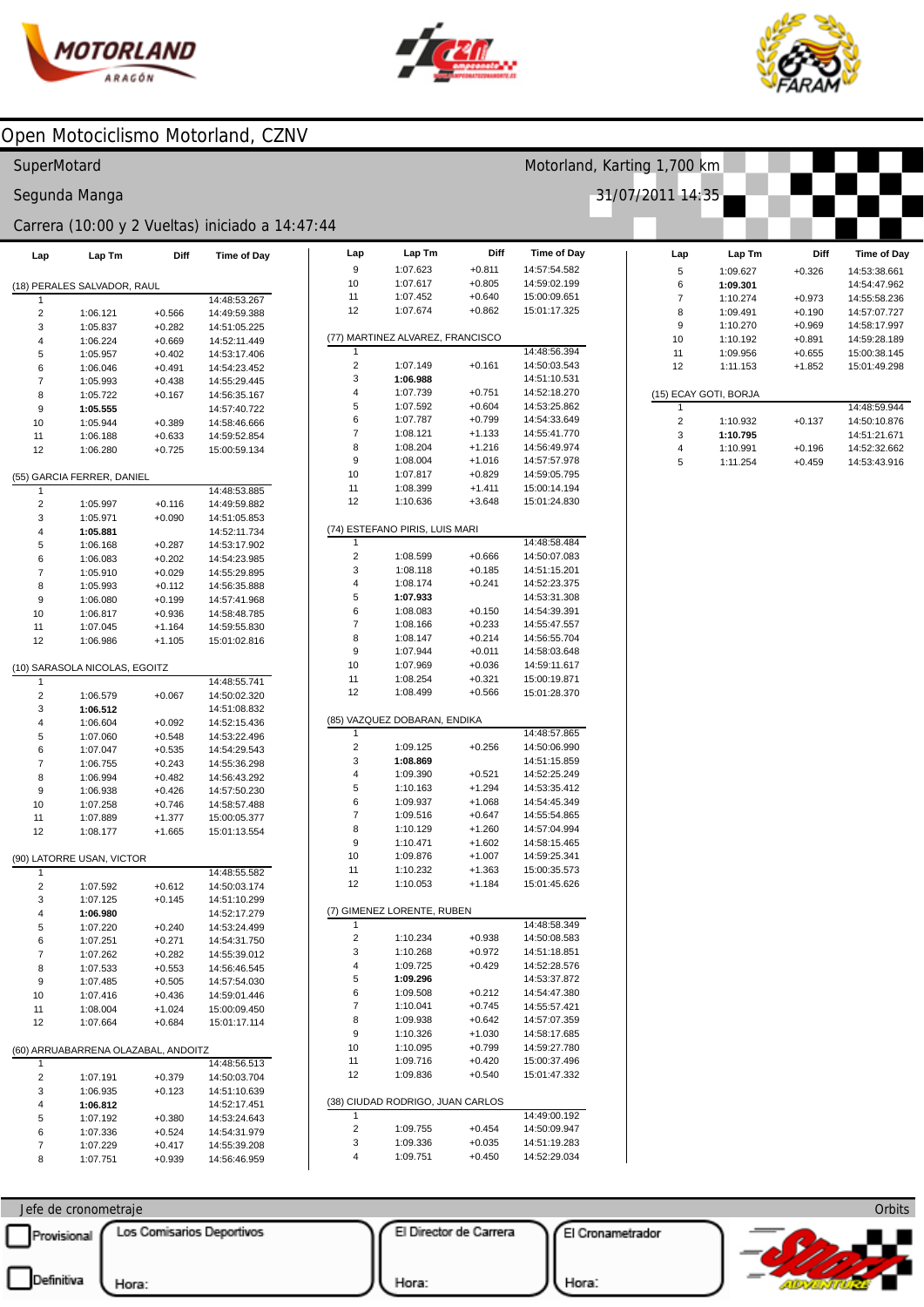



Lap

 $\boldsymbol{9}$ 

Lap Tm

1:07.623

Diff

 $+0.811$ 

Time of Day

14:57:54.582



### Open Motociclismo Motorland, CZNV

#### SuperMotard

Segunda Manga

#### Carrera (10:00 y 2 Vueltas) iniciado a 14:47:44

| Lap            | Lap Tm                              | Diff     | <b>Time of Day</b> |
|----------------|-------------------------------------|----------|--------------------|
|                | (18) PERALES SALVADOR, RAUL         |          |                    |
| 1              |                                     |          | 14:48:53.267       |
| 2              | 1:06.121                            | $+0.566$ | 14:49:59.388       |
| 3              | 1:05.837                            | $+0.282$ | 14:51:05.225       |
| 4              | 1:06.224                            | $+0.669$ | 14:52:11.449       |
| 5              | 1:05.957                            | $+0.402$ | 14:53:17.406       |
| 6              | 1:06.046                            | $+0.491$ | 14:54:23.452       |
| $\overline{7}$ | 1:05.993                            | $+0.438$ | 14:55:29.445       |
| 8              | 1:05.722                            | $+0.167$ | 14:56:35.167       |
| 9              | 1:05.555                            |          | 14:57:40.722       |
| 10             | 1:05.944                            | $+0.389$ | 14:58:46.666       |
| 11             | 1:06.188                            | $+0.633$ | 14:59:52.854       |
| 12             | 1:06.280                            | $+0.725$ | 15:00:59.134       |
|                | (55) GARCIA FERRER, DANIEL          |          |                    |
| 1              |                                     |          | 14:48:53.885       |
| 2              | 1:05.997                            | $+0.116$ | 14:49:59.882       |
| 3              | 1:05.971                            | $+0.090$ | 14:51:05.853       |
| 4              | 1:05.881                            |          | 14:52:11.734       |
| 5              | 1:06.168                            | $+0.287$ | 14:53:17.902       |
| 6              | 1:06.083                            | $+0.202$ | 14:54:23.985       |
| 7              | 1:05.910                            | $+0.029$ | 14:55:29.895       |
| 8              | 1:05.993                            | $+0.112$ | 14:56:35.888       |
| 9              | 1:06.080                            | $+0.199$ | 14:57:41.968       |
| 10             | 1:06.817                            | $+0.936$ | 14:58:48.785       |
| 11             | 1:07.045                            | $+1.164$ | 14:59:55.830       |
| 12             | 1:06.986                            | $+1.105$ | 15:01:02.816       |
|                | (10) SARASOLA NICOLAS, EGOITZ       |          |                    |
| 1              |                                     |          | 14:48:55.741       |
| 2              | 1:06.579                            | $+0.067$ | 14:50:02.320       |
| 3              | 1:06.512                            |          | 14:51:08.832       |
| 4              | 1:06.604                            | $+0.092$ | 14:52:15.436       |
| 5              | 1:07.060                            | $+0.548$ | 14:53:22.496       |
| 6              | 1:07.047                            | $+0.535$ | 14:54:29.543       |
| 7              | 1:06.755                            | $+0.243$ | 14:55:36.298       |
| 8              | 1:06.994                            | $+0.482$ | 14:56:43.292       |
| 9              | 1:06.938                            | $+0.426$ | 14:57:50.230       |
| 10             | 1:07.258                            | $+0.746$ | 14:58:57.488       |
| 11             | 1:07.889                            | $+1.377$ | 15:00:05.377       |
| 12             | 1:08.177                            | $+1.665$ | 15:01:13.554       |
|                | (90) LATORRE USAN, VICTOR           |          |                    |
| 1              |                                     |          | 14:48:55.582       |
| 2              | 1:07.592                            | $+0.612$ | 14:50:03.174       |
| 3              | 1:07.125                            | $+0.145$ | 14:51:10.299       |
| 4              | 1:06.980                            |          | 14:52:17.279       |
| 5              | 1:07.220                            | $+0.240$ | 14:53:24.499       |
| 6              | 1:07.251                            | +0.271   | 14:54:31.750       |
| 7              | 1:07.262                            | +0.282   | 14:55:39.012       |
| 8              | 1:07.533                            | $+0.553$ | 14:56:46.545       |
| 9              | 1:07.485                            | $+0.505$ | 14:57:54.030       |
| 10             | 1:07.416                            | $+0.436$ | 14:59:01.446       |
| 11             | 1:08.004                            | $+1.024$ | 15:00:09.450       |
| 12             | 1:07.664                            | $+0.684$ | 15:01:17.114       |
|                |                                     |          |                    |
| 1              | (60) ARRUABARRENA OLAZABAL, ANDOITZ |          | 14:48:56.513       |
|                |                                     |          |                    |
| 2              | 1:07.191                            | $+0.379$ | 14:50:03.704       |
| 3              | 1:06.935                            | $+0.123$ | 14:51:10.639       |
| 4              | 1:06.812                            |          | 14:52:17.451       |
| 5              | 1:07.192                            | $+0.380$ | 14:53:24.643       |
| 6              | 1:07.336                            | $+0.524$ | 14:54:31.979       |
| 7              | 1:07.229                            | $+0.417$ | 14:55:39.208       |
| 8              | 1:07.751                            | $+0.939$ | 14:56:46.959       |

| 10     | 1:07.617                         | $+0.805$             | 14:59:02.199                 |
|--------|----------------------------------|----------------------|------------------------------|
| 11     | 1:07.452                         | $+0.640$             | 15:00:09.651                 |
| 12     | 1:07.674                         | $+0.862$             | 15:01:17.325                 |
|        |                                  |                      |                              |
|        | (77) MARTINEZ ALVAREZ, FRANCISCO |                      |                              |
| 1      |                                  |                      | 14:48:56.394                 |
| 2      | 1:07.149                         | +0.161               | 14:50:03.543                 |
| 3      | 1:06.988                         |                      | 14:51:10.531                 |
| 4      | 1:07.739                         | $+0.751$             | 14:52:18.270                 |
| 5      | 1:07.592                         | $+0.604$             | 14:53:25.862                 |
| 6      | 1:07.787                         | $+0.799$             | 14:54:33.649                 |
| 7      |                                  | $+1.133$             |                              |
|        | 1:08.121                         |                      | 14:55:41.770                 |
| 8      | 1:08.204                         | $+1.216$             | 14:56:49.974                 |
| 9      | 1:08.004                         | $+1.016$             | 14:57:57.978                 |
| 10     | 1:07.817                         | $+0.829$             | 14:59:05.795                 |
| 11     | 1:08.399                         | $+1.411$             | 15:00:14.194                 |
| 12     | 1:10.636                         | $+3.648$             | 15:01:24.830                 |
|        |                                  |                      |                              |
|        | (74) ESTEFANO PIRIS, LUIS MARI   |                      |                              |
| 1      |                                  |                      | 14:48:58.484                 |
| 2      | 1:08.599                         | $+0.666$             | 14:50:07.083                 |
| 3      | 1:08.118                         | $+0.185$             | 14:51:15.201                 |
| 4      | 1:08.174                         | $+0.241$             | 14:52:23.375                 |
| 5      | 1:07.933                         |                      | 14:53:31.308                 |
| 6      | 1:08.083                         | $+0.150$             | 14:54:39.391                 |
| 7      | 1:08.166                         | $+0.233$             | 14:55:47.557                 |
|        |                                  | $+0.214$             |                              |
| 8      | 1:08.147                         |                      | 14:56:55.704                 |
| 9      | 1:07.944                         | $+0.011$             | 14:58:03.648                 |
| 10     | 1:07.969                         | $+0.036$             | 14:59:11.617                 |
| 11     | 1:08.254                         | $+0.321$             | 15:00:19.871                 |
| 12     | 1:08.499                         | $+0.566$             | 15:01:28.370                 |
|        |                                  |                      |                              |
|        | (85) VAZQUEZ DOBARAN, ENDIKA     |                      |                              |
| 1      |                                  |                      | 14:48:57.865                 |
| 2      | 1:09.125                         | $+0.256$             | 14:50:06.990                 |
| 3      | 1:08.869                         |                      | 14:51:15.859                 |
| 4      | 1:09.390                         | $+0.521$             | 14:52:25.249                 |
| 5      | 1:10.163                         | $+1.294$             | 14:53:35.412                 |
| 6      | 1:09.937                         | $+1.068$             | 14:54:45.349                 |
| 7      | 1:09.516                         | $+0.647$             | 14:55:54.865                 |
| 8      | 1:10.129                         | $+1.260$             | 14:57:04.994                 |
| 9      | 1:10.471                         | $+1.602$             | 14:58:15.465                 |
| 10     | 1:09.876                         | $+1.007$             | 14:59:25.341                 |
| 11     |                                  |                      |                              |
|        |                                  |                      |                              |
|        | 1:10.232                         | $+1.363$             | 15:00:35.573                 |
| 12     | 1:10.053                         | $+1.184$             | 15:01:45.626                 |
|        |                                  |                      |                              |
|        | (7) GIMENEZ LORENTE, RUBEN       |                      |                              |
| 1      |                                  |                      | 14:48:58.349                 |
| 2      | 1:10.234                         | $+0.938$             | 14:50:08.583                 |
| 3      | 1:10.268                         | $+0.972$             | 14:51:18.851                 |
| 4      | 1:09.725                         | $+0.429$             | 14:52:28.576                 |
| 5      | 1:09.296                         |                      | 14:53:37.872                 |
| 6      | 1:09.508                         | $+0.212$             | 14:54:47.380                 |
| 7      | 1:10.041                         | $+0.745$             | 14:55:57.421                 |
| 8      | 1:09.938                         | $+0.642$             | 14:57:07.359                 |
| 9      | 1:10.326                         | $+1.030$             | 14:58:17.685                 |
|        |                                  |                      |                              |
| 10     | 1:10.095                         | $+0.799$             | 14:59:27.780                 |
| 11     | 1:09.716                         | $+0.420$             | 15:00:37.496                 |
| 12     | 1:09.836                         | $+0.540$             | 15:01:47.332                 |
|        |                                  |                      |                              |
|        | (38) CIUDAD RODRIGO, JUAN CARLOS |                      |                              |
| 1      |                                  |                      | 14:49:00.192                 |
| 2      | 1:09.755                         | $+0.454$             | 14:50:09.947                 |
| 3<br>4 | 1:09.336<br>1:09.751             | $+0.035$<br>$+0.450$ | 14:51:19.283<br>14:52:29.034 |

| Lap            | Lap Tm                | Diff     | Time of Day  |
|----------------|-----------------------|----------|--------------|
| 5              | 1:09.627              | $+0.326$ | 14:53:38.661 |
| 6              | 1:09.301              |          | 14:54:47.962 |
| $\overline{7}$ | 1:10.274              | $+0.973$ | 14:55:58.236 |
| 8              | 1:09.491              | $+0.190$ | 14:57:07.727 |
| 9              | 1:10.270              | $+0.969$ | 14:58:17.997 |
| 10             | 1:10.192              | $+0.891$ | 14:59:28.189 |
| 11             | 1:09.956              | $+0.655$ | 15:00:38.145 |
| 12             | 1:11.153              | $+1.852$ | 15:01:49.298 |
|                |                       |          |              |
|                | (15) ECAY GOTI, BORJA |          |              |
|                |                       |          | 14:48:59.944 |
| $\overline{2}$ | 1:10.932              | $+0.137$ | 14:50:10.876 |
| 3              | 1:10.795              |          | 14:51:21.671 |
| 4              | 1:10.991              | $+0.196$ | 14:52:32.662 |

 $+0.459$ 

14:53:43.916

1:11.254

Motorland, Karting 1,700 km

31/07/2011 14:35

 $\overline{5}$ 

#### Orbits Jefe de cronometraje Los Comisarios Deportivos El Director de Carrera El Cronametrador Provisional Definitiva Hora: Hora: Hora: **ATOLICA AT**